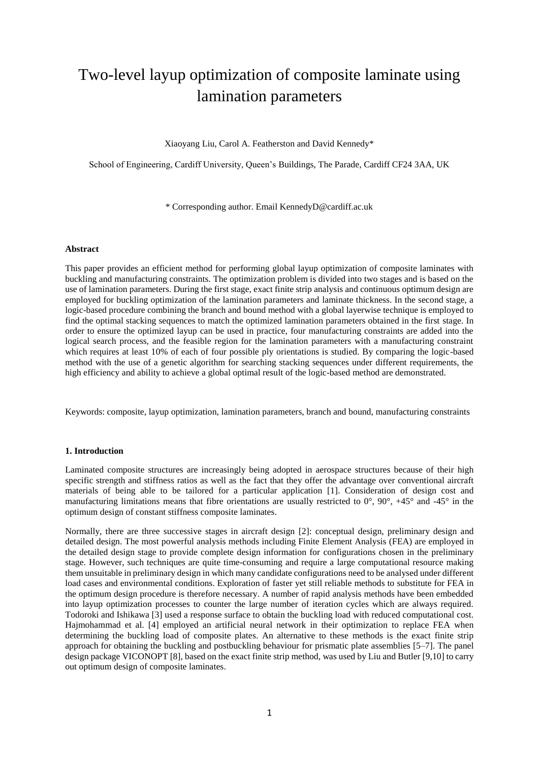# Two-level layup optimization of composite laminate using lamination parameters

Xiaoyang Liu, Carol A. Featherston and David Kennedy\*

School of Engineering, Cardiff University, Queen's Buildings, The Parade, Cardiff CF24 3AA, UK

\* Corresponding author. Email KennedyD@cardiff.ac.uk

# **Abstract**

This paper provides an efficient method for performing global layup optimization of composite laminates with buckling and manufacturing constraints. The optimization problem is divided into two stages and is based on the use of lamination parameters. During the first stage, exact finite strip analysis and continuous optimum design are employed for buckling optimization of the lamination parameters and laminate thickness. In the second stage, a logic-based procedure combining the branch and bound method with a global layerwise technique is employed to find the optimal stacking sequences to match the optimized lamination parameters obtained in the first stage. In order to ensure the optimized layup can be used in practice, four manufacturing constraints are added into the logical search process, and the feasible region for the lamination parameters with a manufacturing constraint which requires at least 10% of each of four possible ply orientations is studied. By comparing the logic-based method with the use of a genetic algorithm for searching stacking sequences under different requirements, the high efficiency and ability to achieve a global optimal result of the logic-based method are demonstrated.

Keywords: composite, layup optimization, lamination parameters, branch and bound, manufacturing constraints

# **1. Introduction**

Laminated composite structures are increasingly being adopted in aerospace structures because of their high specific strength and stiffness ratios as well as the fact that they offer the advantage over conventional aircraft materials of being able to be tailored for a particular application [1]. Consideration of design cost and manufacturing limitations means that fibre orientations are usually restricted to  $0^{\circ}$ ,  $90^{\circ}$ ,  $+45^{\circ}$  and  $-45^{\circ}$  in the optimum design of constant stiffness composite laminates.

Normally, there are three successive stages in aircraft design [2]: conceptual design, preliminary design and detailed design. The most powerful analysis methods including Finite Element Analysis (FEA) are employed in the detailed design stage to provide complete design information for configurations chosen in the preliminary stage. However, such techniques are quite time-consuming and require a large computational resource making them unsuitable in preliminary design in which many candidate configurations need to be analysed under different load cases and environmental conditions. Exploration of faster yet still reliable methods to substitute for FEA in the optimum design procedure is therefore necessary. A number of rapid analysis methods have been embedded into layup optimization processes to counter the large number of iteration cycles which are always required. Todoroki and Ishikawa [3] used a response surface to obtain the buckling load with reduced computational cost. Hajmohammad et al. [4] employed an artificial neural network in their optimization to replace FEA when determining the buckling load of composite plates. An alternative to these methods is the exact finite strip approach for obtaining the buckling and postbuckling behaviour for prismatic plate assemblies [5–7]. The panel design package VICONOPT [8], based on the exact finite strip method, was used by Liu and Butler [9,10] to carry out optimum design of composite laminates.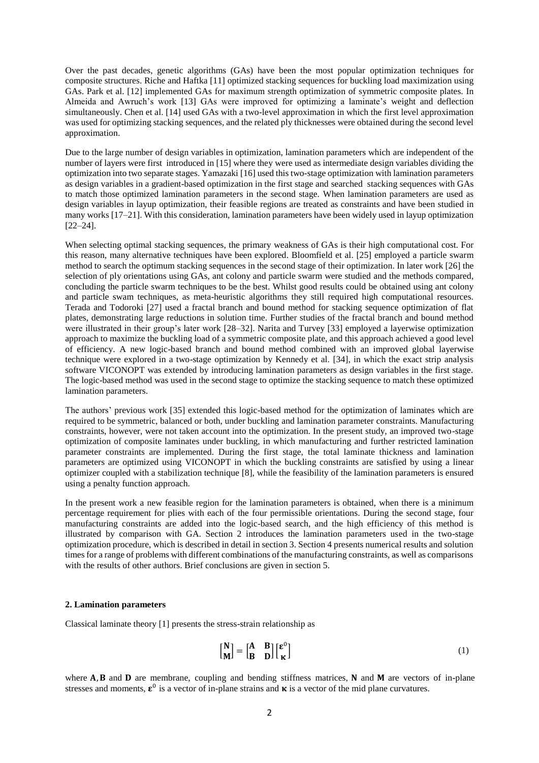Over the past decades, genetic algorithms (GAs) have been the most popular optimization techniques for composite structures. Riche and Haftka [11] optimized stacking sequences for buckling load maximization using GAs. Park et al. [12] implemented GAs for maximum strength optimization of symmetric composite plates. In Almeida and Awruch's work [13] GAs were improved for optimizing a laminate's weight and deflection simultaneously. Chen et al. [14] used GAs with a two-level approximation in which the first level approximation was used for optimizing stacking sequences, and the related ply thicknesses were obtained during the second level approximation.

Due to the large number of design variables in optimization, lamination parameters which are independent of the number of layers were first introduced in [15] where they were used as intermediate design variables dividing the optimization into two separate stages. Yamazaki [16] used this two-stage optimization with lamination parameters as design variables in a gradient-based optimization in the first stage and searched stacking sequences with GAs to match those optimized lamination parameters in the second stage. When lamination parameters are used as design variables in layup optimization, their feasible regions are treated as constraints and have been studied in many works [17–21]. With this consideration, lamination parameters have been widely used in layup optimization  $[22-24]$ .

When selecting optimal stacking sequences, the primary weakness of GAs is their high computational cost. For this reason, many alternative techniques have been explored. Bloomfield et al. [25] employed a particle swarm method to search the optimum stacking sequences in the second stage of their optimization. In later work [26] the selection of ply orientations using GAs, ant colony and particle swarm were studied and the methods compared, concluding the particle swarm techniques to be the best. Whilst good results could be obtained using ant colony and particle swam techniques, as meta-heuristic algorithms they still required high computational resources. Terada and Todoroki [27] used a fractal branch and bound method for stacking sequence optimization of flat plates, demonstrating large reductions in solution time. Further studies of the fractal branch and bound method were illustrated in their group's later work [28–32]. Narita and Turvey [33] employed a layerwise optimization approach to maximize the buckling load of a symmetric composite plate, and this approach achieved a good level of efficiency. A new logic-based branch and bound method combined with an improved global layerwise technique were explored in a two-stage optimization by Kennedy et al. [34], in which the exact strip analysis software VICONOPT was extended by introducing lamination parameters as design variables in the first stage. The logic-based method was used in the second stage to optimize the stacking sequence to match these optimized lamination parameters.

The authors' previous work [35] extended this logic-based method for the optimization of laminates which are required to be symmetric, balanced or both, under buckling and lamination parameter constraints. Manufacturing constraints, however, were not taken account into the optimization. In the present study, an improved two-stage optimization of composite laminates under buckling, in which manufacturing and further restricted lamination parameter constraints are implemented. During the first stage, the total laminate thickness and lamination parameters are optimized using VICONOPT in which the buckling constraints are satisfied by using a linear optimizer coupled with a stabilization technique [8], while the feasibility of the lamination parameters is ensured using a penalty function approach.

In the present work a new feasible region for the lamination parameters is obtained, when there is a minimum percentage requirement for plies with each of the four permissible orientations. During the second stage, four manufacturing constraints are added into the logic-based search, and the high efficiency of this method is illustrated by comparison with GA. Section 2 introduces the lamination parameters used in the two-stage optimization procedure, which is described in detail in section 3. Section 4 presents numerical results and solution times for a range of problems with different combinations of the manufacturing constraints, as well as comparisons with the results of other authors. Brief conclusions are given in section 5.

## **2. Lamination parameters**

Classical laminate theory [1] presents the stress-strain relationship as

$$
\begin{bmatrix} \mathbf{N} \\ \mathbf{M} \end{bmatrix} = \begin{bmatrix} \mathbf{A} & \mathbf{B} \\ \mathbf{B} & \mathbf{D} \end{bmatrix} \begin{bmatrix} \boldsymbol{\epsilon}^0 \\ \mathbf{\kappa} \end{bmatrix} \tag{1}
$$

where  $A, B$  and  $D$  are membrane, coupling and bending stiffness matrices,  $N$  and  $M$  are vectors of in-plane stresses and moments,  $\epsilon^0$  is a vector of in-plane strains and  $\kappa$  is a vector of the mid plane curvatures.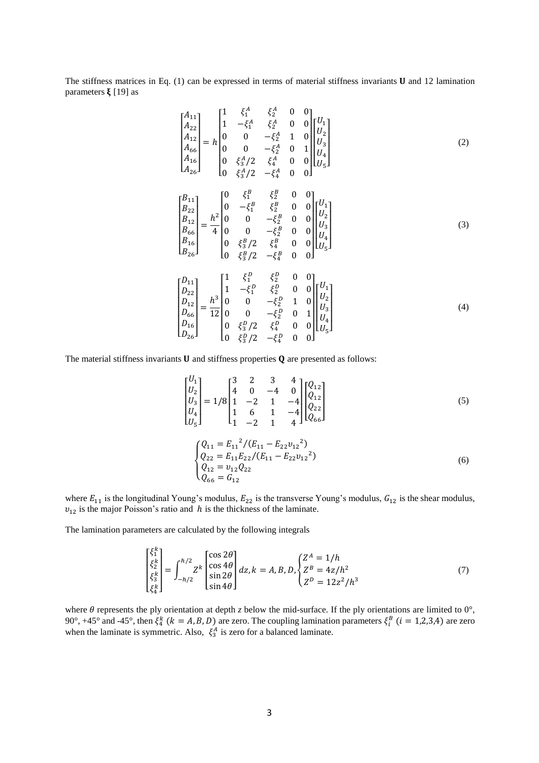The stiffness matrices in Eq.  $(1)$  can be expressed in terms of material stiffness invariants **U** and 12 lamination parameters  $\xi$  [19] as

$$
\begin{bmatrix}\nA_{11} \\
A_{22} \\
A_{12} \\
A_{66} \\
A_{16} \\
A_{26}\n\end{bmatrix} = h \begin{bmatrix}\n1 & \xi_1^A & \xi_2^A & 0 & 0 \\
0 & 0 & -\xi_2^A & 1 & 0 \\
0 & 0 & -\xi_2^A & 0 & 1 \\
0 & \xi_3^A / 2 & \xi_4^A & 0 & 0 \\
0 & \xi_3^A / 2 & -\xi_4^A & 0 & 0\n\end{bmatrix} \begin{bmatrix}\nU_1 \\
U_2 \\
U_3 \\
U_4 \\
U_5\n\end{bmatrix}
$$
\n(2)\n
$$
\begin{bmatrix}\nB_{11} \\
B_{22} \\
B_{12} \\
B_{16} \\
B_{16} \\
B_{26}\n\end{bmatrix} = \frac{h^2}{4} \begin{bmatrix}\n0 & \xi_1^B & \xi_2^B & 0 & 0 \\
0 & -\xi_1^B & \xi_2^B & 0 & 0 \\
0 & 0 & -\xi_2^B & 0 & 0 \\
0 & \xi_3^B / 2 & \xi_4^B & 0 & 0 \\
0 & \xi_3^B / 2 & -\xi_4^B & 0 & 0\n\end{bmatrix} \begin{bmatrix}\nU_1 \\
U_2 \\
U_3 \\
U_4 \\
U_5\n\end{bmatrix}
$$
\n(3)\n
$$
\begin{bmatrix}\nD_{11} \\
D_{12} \\
D_{22} \\
D_{12} \\
D_{16} \\
D_{16} \\
D_{27}\n\end{bmatrix} = \frac{h^3}{12} \begin{bmatrix}\n1 & \xi_1^B & \xi_2^B & 0 & 0 \\
0 & 0 & -\xi_2^B & 1 & 0 \\
0 & 0 & -\xi_2^B & 1 & 0 \\
0 & 0 & -\xi_2^B & 0 & 1 \\
0 & \xi_3^B / 2 & \xi_4^B & 0 & 0\n\end{bmatrix} \begin{bmatrix}\nU_1 \\
U_2 \\
U_3 \\
U_4 \\
U_5\n\end{bmatrix}
$$
\n(4)

The material stiffness invariants  $U$  and stiffness properties  $Q$  are presented as follows:

$$
\begin{bmatrix} U_1 \\ U_2 \\ U_3 \\ U_4 \\ U_5 \end{bmatrix} = 1/8 \begin{bmatrix} 3 & 2 & 3 & 4 \\ 4 & 0 & -4 & 0 \\ 1 & -2 & 1 & -4 \\ 1 & 6 & 1 & -4 \\ 1 & -2 & 1 & 4 \end{bmatrix} \begin{bmatrix} Q_{12} \\ Q_{12} \\ Q_{22} \\ Q_{66} \end{bmatrix}
$$
(5)  

$$
\begin{cases} Q_{11} = E_{11}^2 / (E_{11} - E_{22} v_{12}^2) \\ Q_{22} = E_{11} E_{22} / (E_{11} - E_{22} v_{12}^2) \\ Q_{12} = v_{12} Q_{22} \end{cases}
$$
(6)

where  $E_{11}$  is the longitudinal Young's modulus,  $E_{22}$  is the transverse Young's modulus,  $G_{12}$  is the shear modulus,  $v_{12}$  is the major Poisson's ratio and  $h$  is the thickness of the laminate.

The lamination parameters are calculated by the following integrals

 $\overline{\mathcal{L}}$ 

 $Q_{66} = G_{12}$ 

$$
\begin{bmatrix} \xi_1^k \\ \xi_2^k \\ \xi_3^k \\ \xi_4^k \end{bmatrix} = \int_{-h/2}^{h/2} Z^k \begin{bmatrix} \cos 2\theta \\ \cos 4\theta \\ \sin 2\theta \\ \sin 4\theta \end{bmatrix} dz, k = A, B, D, \begin{cases} Z^A = 1/h \\ Z^B = 4z/h^2 \\ Z^D = 12z^2/h^3 \end{cases}
$$
(7)

where  $\theta$  represents the ply orientation at depth *z* below the mid-surface. If the ply orientations are limited to  $0^\circ$ , 90°, +45° and -45°, then  $\xi_4^k$  ( $k = A, B, D$ ) are zero. The coupling lamination parameters  $\xi_i^B$  ( $i = 1,2,3,4$ ) are zero when the laminate is symmetric. Also,  $\xi_3^A$  is zero for a balanced laminate.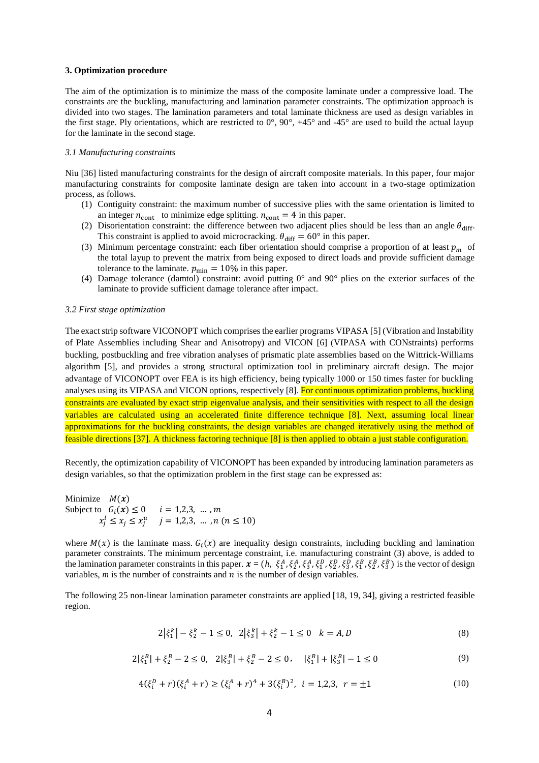#### **3. Optimization procedure**

The aim of the optimization is to minimize the mass of the composite laminate under a compressive load. The constraints are the buckling, manufacturing and lamination parameter constraints. The optimization approach is divided into two stages. The lamination parameters and total laminate thickness are used as design variables in the first stage. Ply orientations, which are restricted to  $0^\circ$ ,  $90^\circ$ ,  $+45^\circ$  and  $-45^\circ$  are used to build the actual layup for the laminate in the second stage.

## *3.1 Manufacturing constraints*

Niu [36] listed manufacturing constraints for the design of aircraft composite materials. In this paper, four major manufacturing constraints for composite laminate design are taken into account in a two-stage optimization process, as follows.

- (1) Contiguity constraint: the maximum number of successive plies with the same orientation is limited to an integer  $n_{\text{cont}}$  to minimize edge splitting.  $n_{\text{cont}} = 4$  in this paper.
- (2) Disorientation constraint: the difference between two adjacent plies should be less than an angle  $\theta_{\text{diff}}$ . This constraint is applied to avoid microcracking.  $\theta_{\text{diff}} = 60^{\circ}$  in this paper.
- (3) Minimum percentage constraint: each fiber orientation should comprise a proportion of at least  $p_m$  of the total layup to prevent the matrix from being exposed to direct loads and provide sufficient damage tolerance to the laminate.  $p_{\text{min}} = 10\%$  in this paper.
- (4) Damage tolerance (damtol) constraint: avoid putting 0° and 90° plies on the exterior surfaces of the laminate to provide sufficient damage tolerance after impact.

### *3.2 First stage optimization*

The exact strip software VICONOPT which comprises the earlier programs VIPASA [5] (Vibration and Instability of Plate Assemblies including Shear and Anisotropy) and VICON [6] (VIPASA with CONstraints) performs buckling, postbuckling and free vibration analyses of prismatic plate assemblies based on the Wittrick-Williams algorithm [5], and provides a strong structural optimization tool in preliminary aircraft design. The major advantage of VICONOPT over FEA is its high efficiency, being typically 1000 or 150 times faster for buckling analyses using its VIPASA and VICON options, respectively [8]. For continuous optimization problems, buckling constraints are evaluated by exact strip eigenvalue analysis, and their sensitivities with respect to all the design variables are calculated using an accelerated finite difference technique [8]. Next, assuming local linear approximations for the buckling constraints, the design variables are changed iteratively using the method of feasible directions [37]. A thickness factoring technique [8] is then applied to obtain a just stable configuration.

Recently, the optimization capability of VICONOPT has been expanded by introducing lamination parameters as design variables, so that the optimization problem in the first stage can be expressed as:

Minimize  $M(x)$ Subject to  $G_i(x) \le 0$   $i = 1,2,3, ... , m$  $x_j^l \le x_j \le x_j^u$   $j = 1,2,3, ..., n$   $(n \le 10)$ 

where  $M(x)$  is the laminate mass.  $G_i(x)$  are inequality design constraints, including buckling and lamination parameter constraints. The minimum percentage constraint, i.e. manufacturing constraint (3) above, is added to the lamination parameter constraints in this paper.  $\mathbf{x} = (h, \xi_1^A, \xi_2^A, \xi_3^A, \xi_1^B, \xi_2^B, \xi_3^B, \xi_1^B, \xi_2^B, \xi_3^B)$  is the vector of design variables,  $m$  is the number of constraints and  $n$  is the number of design variables.

The following 25 non-linear lamination parameter constraints are applied [18, 19, 34], giving a restricted feasible region.

$$
2\left|\xi_1^k\right| - \xi_2^k - 1 \le 0, \ \ 2\left|\xi_3^k\right| + \xi_2^k - 1 \le 0 \quad k = A, D \tag{8}
$$

$$
2|\xi_1^B| + \xi_2^B - 2 \le 0, \quad 2|\xi_3^B| + \xi_2^B - 2 \le 0, \quad |\xi_1^B| + |\xi_3^B| - 1 \le 0 \tag{9}
$$

$$
4(\xi_i^D + r)(\xi_i^A + r) \ge (\xi_i^A + r)^4 + 3(\xi_i^B)^2, \ i = 1, 2, 3, \ r = \pm 1
$$
\n<sup>(10)</sup>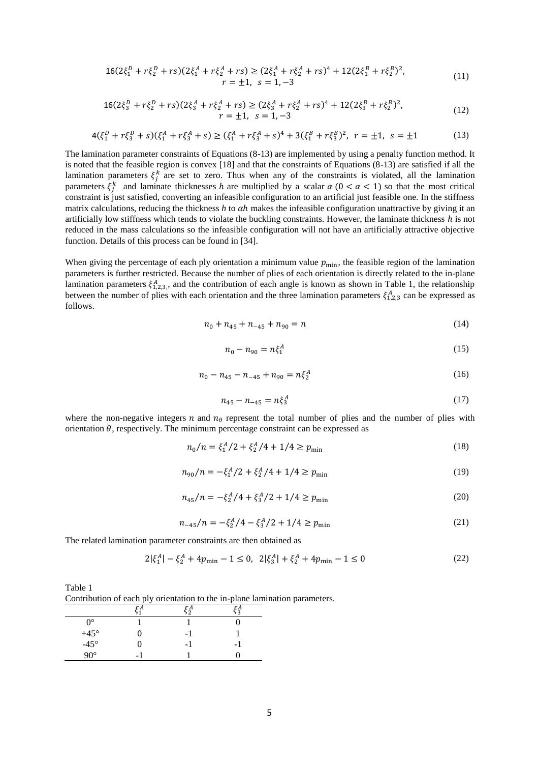$$
16(2\xi_1^D + r\xi_2^D + rs)(2\xi_1^A + r\xi_2^A + rs) \ge (2\xi_1^A + r\xi_2^A + rs)^4 + 12(2\xi_1^B + r\xi_2^B)^2,
$$
  
\n
$$
r = \pm 1, \quad s = 1, -3
$$
\n(11)

$$
16(2\xi_3^D + r\xi_2^D + rs)(2\xi_3^A + r\xi_2^A + rs) \ge (2\xi_3^A + r\xi_2^A + rs)^4 + 12(2\xi_3^B + r\xi_2^B)^2,
$$
  
\n
$$
r = \pm 1, \quad s = 1, -3
$$
 (12)

$$
4(\xi_1^D + r\xi_3^D + s)(\xi_1^A + r\xi_3^A + s) \ge (\xi_1^A + r\xi_3^A + s)^4 + 3(\xi_1^B + r\xi_3^B)^2, \ r = \pm 1, \ s = \pm 1
$$
 (13)

The lamination parameter constraints of Equations (8-13) are implemented by using a penalty function method. It is noted that the feasible region is convex [18] and that the constraints of Equations (8-13) are satisfied if all the lamination parameters  $\xi_j^k$  are set to zero. Thus when any of the constraints is violated, all the lamination parameters  $\xi_j^k$  and laminate thicknesses h are multiplied by a scalar  $\alpha$  ( $0 < \alpha < 1$ ) so that the most critical constraint is just satisfied, converting an infeasible configuration to an artificial just feasible one. In the stiffness matrix calculations, reducing the thickness  $h$  to  $\alpha h$  makes the infeasible configuration unattractive by giving it an artificially low stiffness which tends to violate the buckling constraints. However, the laminate thickness  $h$  is not reduced in the mass calculations so the infeasible configuration will not have an artificially attractive objective function. Details of this process can be found in [34].

When giving the percentage of each ply orientation a minimum value  $p_{\text{min}}$ , the feasible region of the lamination parameters is further restricted. Because the number of plies of each orientation is directly related to the in-plane lamination parameters  $\xi_{1,2,3}^A$ , and the contribution of each angle is known as shown in Table 1, the relationship between the number of plies with each orientation and the three lamination parameters  $\xi_{1,2,3}^A$  can be expressed as follows.

$$
n_0 + n_{45} + n_{-45} + n_{90} = n \tag{14}
$$

$$
n_0 - n_{90} = n\xi_1^A \tag{15}
$$

$$
n_0 - n_{45} - n_{-45} + n_{90} = n\xi_2^A \tag{16}
$$

$$
n_{45} - n_{-45} = n\xi_3^A \tag{17}
$$

where the non-negative integers  $n$  and  $n_{\theta}$  represent the total number of plies and the number of plies with orientation  $\theta$ , respectively. The minimum percentage constraint can be expressed as

$$
n_0/n = \xi_1^A/2 + \xi_2^A/4 + 1/4 \ge p_{\min} \tag{18}
$$

$$
n_{90}/n = -\xi_1^A/2 + \xi_2^A/4 + 1/4 \ge p_{\min} \tag{19}
$$

$$
n_{45}/n = -\xi_2^A/4 + \xi_3^A/2 + 1/4 \ge p_{\min} \tag{20}
$$

$$
n_{-45}/n = -\xi_2^A/4 - \xi_3^A/2 + 1/4 \ge p_{\text{min}} \tag{21}
$$

The related lamination parameter constraints are then obtained as

$$
2|\xi_1^A| - \xi_2^A + 4p_{\min} - 1 \le 0, \ 2|\xi_3^A| + \xi_2^A + 4p_{\min} - 1 \le 0 \tag{22}
$$

Table 1 Contribution of each ply orientation to the in-plane lamination parameters.

|                                       | $\xi_1^A$ | $\xi_2^A$ | ς Α<br>> 3 |
|---------------------------------------|-----------|-----------|------------|
| $0^{\circ}$                           |           |           |            |
| $+45^{\circ}$<br>$-45^{\circ}$<br>90° |           | - 1       |            |
|                                       |           | - 1       | - 1        |
|                                       | $-1$      |           |            |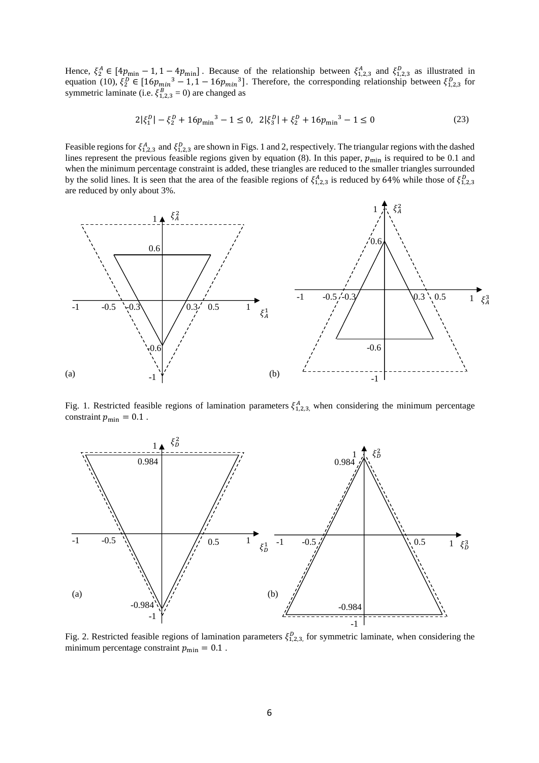Hence,  $\xi_2^A \in [4p_{\min} - 1, 1 - 4p_{\min}]$ . Because of the relationship between  $\xi_{1,2,3}^A$  and  $\xi_{1,2,3}^D$  as illustrated in equation (10),  $\xi_2^D \in [16p_{min}^3 - 1, 1 - 16p_{min}^3]$ . Therefore, the corresponding relationship between  $\xi_{1,2,3}^D$  for symmetric laminate (i.e.  $\xi_{1,2,3}^B = 0$ ) are changed as

$$
2|\xi_1^D| - \xi_2^D + 16p_{\min}^3 - 1 \le 0, \ 2|\xi_3^D| + \xi_2^D + 16p_{\min}^3 - 1 \le 0 \tag{23}
$$

Feasible regions for  $\xi_{1,2,3}^A$  and  $\xi_{1,2,3}^D$  are shown in Figs. 1 and 2, respectively. The triangular regions with the dashed lines represent the previous feasible regions given by equation (8). In this paper,  $p_{\text{min}}$  is required to be 0.1 and when the minimum percentage constraint is added, these triangles are reduced to the smaller triangles surrounded by the solid lines. It is seen that the area of the feasible regions of  $\xi_{1,2,3}^A$  is reduced by 64% while those of  $\xi_{1,2,3}^D$ are reduced by only about 3%.



Fig. 1. Restricted feasible regions of lamination parameters  $\xi_{1,2,3}^A$ , when considering the minimum percentage constraint  $p_{\text{min}} = 0.1$ .



Fig. 2. Restricted feasible regions of lamination parameters  $\xi_{1,2,3}^D$  for symmetric laminate, when considering the minimum percentage constraint  $p_{\text{min}} = 0.1$ .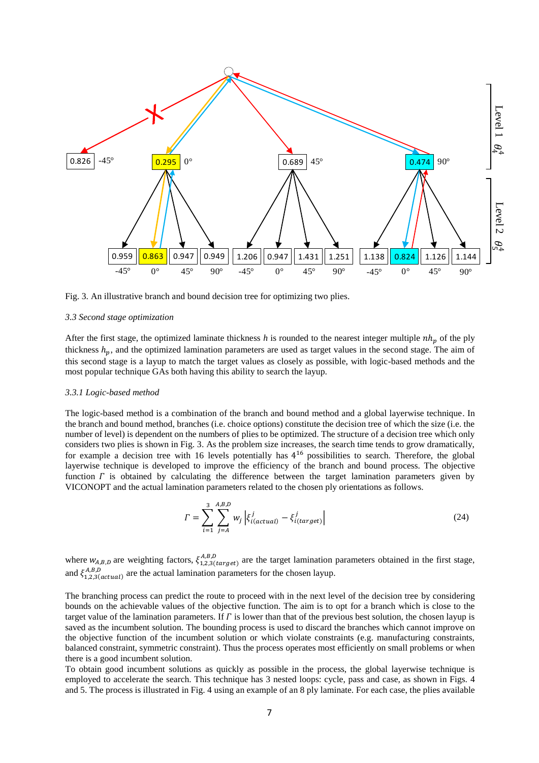

Fig. 3. An illustrative branch and bound decision tree for optimizing two plies.

# *3.3 Second stage optimization*

After the first stage, the optimized laminate thickness *h* is rounded to the nearest integer multiple  $nh_p$  of the ply thickness  $h_p$ , and the optimized lamination parameters are used as target values in the second stage. The aim of this second stage is a layup to match the target values as closely as possible, with logic-based methods and the most popular technique GAs both having this ability to search the layup.

# *3.3.1 Logic-based method*

The logic-based method is a combination of the branch and bound method and a global layerwise technique. In the branch and bound method, branches (i.e. choice options) constitute the decision tree of which the size (i.e. the number of level) is dependent on the numbers of plies to be optimized. The structure of a decision tree which only considers two plies is shown in Fig. 3. As the problem size increases, the search time tends to grow dramatically, for example a decision tree with 16 levels potentially has  $4^{16}$  possibilities to search. Therefore, the global layerwise technique is developed to improve the efficiency of the branch and bound process. The objective function  $\Gamma$  is obtained by calculating the difference between the target lamination parameters given by VICONOPT and the actual lamination parameters related to the chosen ply orientations as follows.

$$
\Gamma = \sum_{i=1}^{3} \sum_{j=A}^{A,B,D} w_j \left| \xi_{i(actual)}^j - \xi_{i(target)}^j \right| \tag{24}
$$

where  $w_{A,B,D}$  are weighting factors,  $\xi_{1,2,3(target)}^{A,B,D}$  are the target lamination parameters obtained in the first stage, and  $\xi_{1,2,3(actual)}^{A,B,D}$  are the actual lamination parameters for the chosen layup.

The branching process can predict the route to proceed with in the next level of the decision tree by considering bounds on the achievable values of the objective function. The aim is to opt for a branch which is close to the target value of the lamination parameters. If  $\Gamma$  is lower than that of the previous best solution, the chosen layup is saved as the incumbent solution. The bounding process is used to discard the branches which cannot improve on the objective function of the incumbent solution or which violate constraints (e.g. manufacturing constraints, balanced constraint, symmetric constraint). Thus the process operates most efficiently on small problems or when there is a good incumbent solution.

To obtain good incumbent solutions as quickly as possible in the process, the global layerwise technique is employed to accelerate the search. This technique has 3 nested loops: cycle, pass and case, as shown in Figs. 4 and 5. The process is illustrated in Fig. 4 using an example of an 8 ply laminate. For each case, the plies available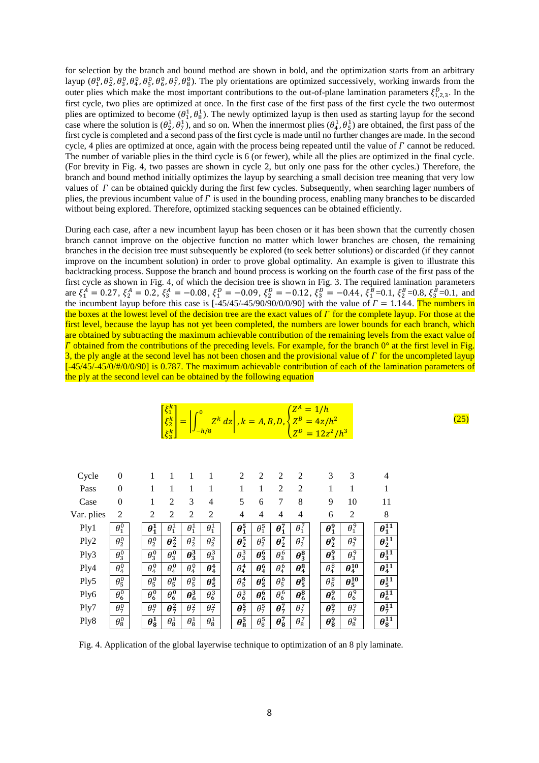for selection by the branch and bound method are shown in bold, and the optimization starts from an arbitrary layup  $(\theta_1^0, \theta_2^0, \theta_3^0, \theta_4^0, \theta_5^0, \theta_6^0, \theta_7^0, \theta_8^0)$ . The ply orientations are optimized successively, working inwards from the outer plies which make the most important contributions to the out-of-plane lamination parameters  $\xi_{1,2,3}^D$ . In the first cycle, two plies are optimized at once. In the first case of the first pass of the first cycle the two outermost plies are optimized to become  $(\theta_1^1, \theta_8^1)$ . The newly optimized layup is then used as starting layup for the second case where the solution is  $(\theta_2^1, \theta_7^1)$ , and so on. When the innermost plies  $(\theta_4^1, \theta_5^1)$  are obtained, the first pass of the first cycle is completed and a second pass of the first cycle is made until no further changes are made. In the second cycle, 4 plies are optimized at once, again with the process being repeated until the value of  $\Gamma$  cannot be reduced. The number of variable plies in the third cycle is 6 (or fewer), while all the plies are optimized in the final cycle. (For brevity in Fig. 4, two passes are shown in cycle 2, but only one pass for the other cycles.) Therefore, the branch and bound method initially optimizes the layup by searching a small decision tree meaning that very low values of  $\Gamma$  can be obtained quickly during the first few cycles. Subsequently, when searching lager numbers of plies, the previous incumbent value of  $\Gamma$  is used in the bounding process, enabling many branches to be discarded without being explored. Therefore, optimized stacking sequences can be obtained efficiently.

During each case, after a new incumbent layup has been chosen or it has been shown that the currently chosen branch cannot improve on the objective function no matter which lower branches are chosen, the remaining branches in the decision tree must subsequently be explored (to seek better solutions) or discarded (if they cannot improve on the incumbent solution) in order to prove global optimality. An example is given to illustrate this backtracking process. Suppose the branch and bound process is working on the fourth case of the first pass of the first cycle as shown in Fig. 4, of which the decision tree is shown in Fig. 3. The required lamination parameters are  $\xi_1^A = 0.27$ ,  $\xi_2^A = 0.2$ ,  $\xi_3^A = -0.08$ ,  $\xi_1^D = -0.09$ ,  $\xi_2^D = -0.12$ ,  $\xi_3^D = -0.44$ ,  $\xi_1^B = 0.1$ ,  $\xi_2^B = 0.8$ ,  $\xi_3^B = 0.1$ , and the incumbent layup before this case is  $[-45/45/45/90/90/0/90]$  with the value of  $\Gamma = 1.144$ . The numbers in the boxes at the lowest level of the decision tree are the exact values of  $\Gamma$  for the complete layup. For those at the first level, because the layup has not yet been completed, the numbers are lower bounds for each branch, which are obtained by subtracting the maximum achievable contribution of the remaining levels from the exact value of  $\Gamma$  obtained from the contributions of the preceding levels. For example, for the branch  $0^\circ$  at the first level in Fig. 3, the ply angle at the second level has not been chosen and the provisional value of  $\Gamma$  for the uncompleted layup [-45/45/-45/0/#/0/0/90] is 0.787. The maximum achievable contribution of each of the lamination parameters of the ply at the second level can be obtained by the following equation

| $\begin{bmatrix} \xi_1^k \\ \xi_2^k \\ \xi_3^k \end{bmatrix} = \left  \int_{-h/8}^0 Z^k \, dz \right , k = A, B, D, \begin{cases} Z^A = 1/h \\ Z^B = 4z/h^2 \\ Z^D = 12z^2/h \end{cases}$ |                   |  |
|-------------------------------------------------------------------------------------------------------------------------------------------------------------------------------------------|-------------------|--|
|                                                                                                                                                                                           | $Z^D = 12z^2/h^3$ |  |

| Cycle      | $\theta$                |                           |                    |                         |                         | 2                       | 2                       | 2                             | 2                       | 3            | 3                       | 4                          |
|------------|-------------------------|---------------------------|--------------------|-------------------------|-------------------------|-------------------------|-------------------------|-------------------------------|-------------------------|--------------|-------------------------|----------------------------|
| Pass       | $\theta$                |                           |                    |                         | 1                       |                         | 1                       | $\overline{2}$                | $\overline{2}$          | 1            |                         |                            |
| Case       | $\theta$                |                           | 2                  | 3                       | $\overline{4}$          | 5                       | 6                       | 7                             | 8                       | 9            | 10                      | 11                         |
| Var. plies | 2                       | $\overline{2}$            | $\overline{2}$     | 2                       | $\overline{2}$          | 4                       | 4                       | 4                             | 4                       | 6            | $\overline{2}$          | 8                          |
| Ply1       | $\theta_1^0$            | $\boldsymbol{\theta_1^1}$ | $\theta_1^1$       | $\theta_1^{\mathbf{1}}$ | $\theta_1^1$            | $\overline{\theta_1^5}$ | $\overline{\theta_1^5}$ | $\boldsymbol{\theta}_1^7$     | $\theta_1^7$            | $\theta_1^9$ | $\theta_1^9$            | $\theta_1^{11}$            |
| Ply2       | $\overline{\theta}^0_2$ | $\theta_2^0$              | $\theta_2^2$       | $\overline{\theta_2^2}$ | $\overline{\theta_2^2}$ | $\theta_2^5$            | $\overline{\theta_2^5}$ | $\boldsymbol{\theta}_2^7$     | $\overline{\theta}^7_2$ | $\theta_2^9$ | $\overline{\theta}^9_2$ | $\theta_2^{11}$            |
| Ply3       | $\theta_3^0$            | $\theta_3^0$              | $\theta_3^0$       | $\theta_3^3$            | $\theta_3^3$            | $\theta_3^3$            | $\theta_3^6$            | $\theta_3^6$                  | $\theta_3^8$            | $\theta_3^9$ | $\theta_3^9$            | $\theta_3^{11}$            |
| Ply4       | $\overline{\theta_4^0}$ | $\theta_4^0$              | $\bar{\theta}_4^0$ | $\theta_4^0$            | $\theta_4^4$            | $\theta_4^4$            | $\theta_4^6$            | $\theta_4^6$                  | $\theta_4^8$            | $\theta_4^8$ | $\theta_4^{10}$         | $\overline{\theta_4}^{11}$ |
| Ply5       | $\overline{\theta_5^0}$ | $\theta_5^0$              | $\theta_5^0$       | $\overline{\theta_5^0}$ | $\theta_5^4$            | $\theta_5^4$            | $\theta_5^6$            | $\theta_5^6$                  | $\theta_5^8$            | $\theta_5^8$ | $\theta_5^{10}$         | $\theta_5^{11}$            |
| Ply6       | $\theta_6^0$            | $\theta_6^0$              | $\bar{\theta}^0_6$ | $\theta_6^3$            | $\overline{\theta_6^3}$ | $\theta_6^3$            | $\theta_6^6$            | $\theta_6^6$                  | $\theta_6^8$            | $\theta_6^9$ | $\overline{\theta_6}^9$ | $\overline{\theta^{11}_6}$ |
| Ply7       | $\theta_7^0$            | $\theta_7^0$              | $\theta^2$         | $\theta_7^2$            | $\theta_7^2$            | $\theta_7^5$            | $\theta_7^5$            | $\boldsymbol{\theta}_7^7$     | $\theta_7^7$            | $\theta_7^9$ | $\overline{\theta_7}^9$ | $\theta_7^{11}$            |
| Ply8       | $\theta_8^0$            | $\boldsymbol{\theta^1_8}$ | $\theta_8^1$       | $\theta_8^1$            | $\theta_8^1$            | $\theta_8^5$            | $\theta_8^5$            | $\pmb{\theta}^7_{\mathbf{8}}$ | $\theta_8^7$            | $\theta_8^9$ | $\theta_8^9$            | $\theta_8^{11}$            |
|            |                         |                           |                    |                         |                         |                         |                         |                               |                         |              |                         |                            |

Fig. 4. Application of the global layerwise technique to optimization of an 8 ply laminate.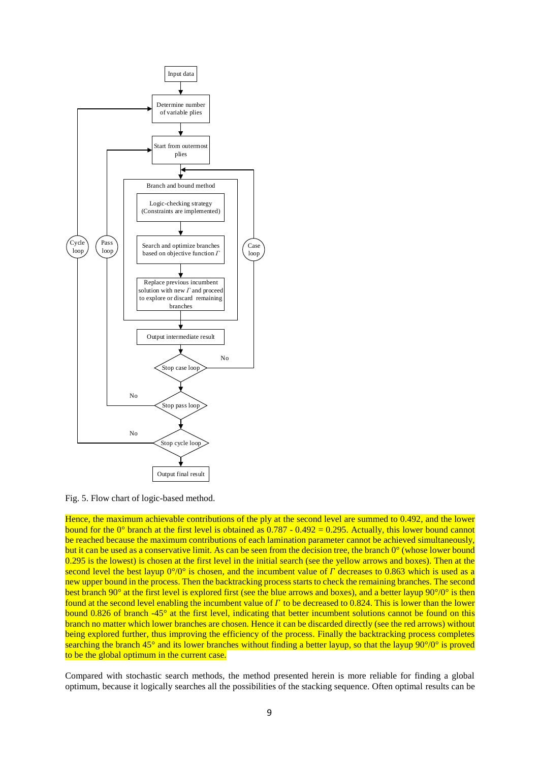

Fig. 5. Flow chart of logic-based method.

Hence, the maximum achievable contributions of the ply at the second level are summed to 0.492, and the lower bound for the  $0^{\circ}$  branch at the first level is obtained as  $0.787 - 0.492 = 0.295$ . Actually, this lower bound cannot be reached because the maximum contributions of each lamination parameter cannot be achieved simultaneously, but it can be used as a conservative limit. As can be seen from the decision tree, the branch 0° (whose lower bound 0.295 is the lowest) is chosen at the first level in the initial search (see the yellow arrows and boxes). Then at the second level the best layup  $0^{\circ}/0^{\circ}$  is chosen, and the incumbent value of  $\Gamma$  decreases to 0.863 which is used as a new upper bound in the process. Then the backtracking process starts to check the remaining branches. The second best branch 90° at the first level is explored first (see the blue arrows and boxes), and a better layup 90°/0° is then found at the second level enabling the incumbent value of  $\Gamma$  to be decreased to 0.824. This is lower than the lower bound 0.826 of branch -45° at the first level, indicating that better incumbent solutions cannot be found on this branch no matter which lower branches are chosen. Hence it can be discarded directly (see the red arrows) without being explored further, thus improving the efficiency of the process. Finally the backtracking process completes searching the branch 45° and its lower branches without finding a better layup, so that the layup 90°/0° is proved to be the global optimum in the current case.

Compared with stochastic search methods, the method presented herein is more reliable for finding a global optimum, because it logically searches all the possibilities of the stacking sequence. Often optimal results can be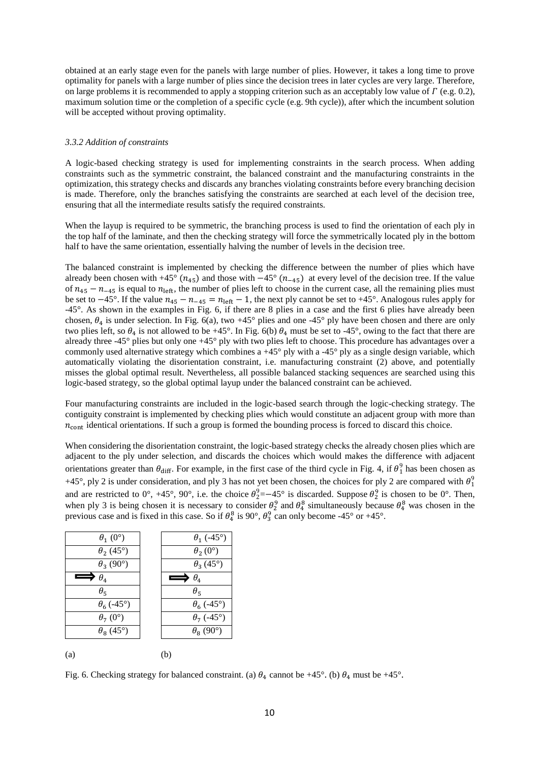obtained at an early stage even for the panels with large number of plies. However, it takes a long time to prove optimality for panels with a large number of plies since the decision trees in later cycles are very large. Therefore, on large problems it is recommended to apply a stopping criterion such as an acceptably low value of  $\Gamma$  (e.g. 0.2), maximum solution time or the completion of a specific cycle (e.g. 9th cycle)), after which the incumbent solution will be accepted without proving optimality.

## *3.3.2 Addition of constraints*

A logic-based checking strategy is used for implementing constraints in the search process. When adding constraints such as the symmetric constraint, the balanced constraint and the manufacturing constraints in the optimization, this strategy checks and discards any branches violating constraints before every branching decision is made. Therefore, only the branches satisfying the constraints are searched at each level of the decision tree, ensuring that all the intermediate results satisfy the required constraints.

When the layup is required to be symmetric, the branching process is used to find the orientation of each ply in the top half of the laminate, and then the checking strategy will force the symmetrically located ply in the bottom half to have the same orientation, essentially halving the number of levels in the decision tree.

The balanced constraint is implemented by checking the difference between the number of plies which have already been chosen with +45° ( $n_{45}$ ) and those with  $-45°$  ( $n_{-45}$ ) at every level of the decision tree. If the value of  $n_{45} - n_{-45}$  is equal to  $n_{\text{left}}$ , the number of plies left to choose in the current case, all the remaining plies must be set to  $-45^\circ$ . If the value  $n_{45} - n_{-45} = n_{\text{left}} - 1$ , the next ply cannot be set to +45°. Analogous rules apply for -45°. As shown in the examples in Fig. 6, if there are 8 plies in a case and the first 6 plies have already been chosen,  $\theta_4$  is under selection. In Fig. 6(a), two +45° plies and one -45° ply have been chosen and there are only two plies left, so  $\theta_4$  is not allowed to be +45°. In Fig. 6(b)  $\theta_4$  must be set to -45°, owing to the fact that there are already three -45° plies but only one +45° ply with two plies left to choose. This procedure has advantages over a commonly used alternative strategy which combines a +45° ply with a -45° ply as a single design variable, which automatically violating the disorientation constraint, i.e. manufacturing constraint (2) above, and potentially misses the global optimal result. Nevertheless, all possible balanced stacking sequences are searched using this logic-based strategy, so the global optimal layup under the balanced constraint can be achieved.

Four manufacturing constraints are included in the logic-based search through the logic-checking strategy. The contiguity constraint is implemented by checking plies which would constitute an adjacent group with more than  $n_{\text{cont}}$  identical orientations. If such a group is formed the bounding process is forced to discard this choice.

When considering the disorientation constraint, the logic-based strategy checks the already chosen plies which are adjacent to the ply under selection, and discards the choices which would makes the difference with adjacent orientations greater than  $\theta_{diff}$ . For example, in the first case of the third cycle in Fig. 4, if  $\theta_1^9$  has been chosen as +45°, ply 2 is under consideration, and ply 3 has not yet been chosen, the choices for ply 2 are compared with  $\theta_1^9$ and are restricted to  $0^{\circ}$ , +45°, 90°, i.e. the choice  $\theta_2^9 = -45^{\circ}$  is discarded. Suppose  $\theta_2^9$  is chosen to be  $0^{\circ}$ . Then, when ply 3 is being chosen it is necessary to consider  $\theta_2^9$  and  $\theta_4^8$  simultaneously because  $\theta_4^8$  was chosen in the previous case and is fixed in this case. So if  $\theta_4^8$  is 90°,  $\theta_3^9$  can only become -45° or +45°.

| $\theta_1$ (0°)            | $\theta_1$ (-45°)            |
|----------------------------|------------------------------|
| $\theta_2$ (45°)           | $\theta_2(0^\circ)$          |
| $\theta_3$ (90°)           | $\theta_3$ (45°)             |
| I<br>$\theta _{4}$         | —<br>$\theta _{4}$           |
| $\theta_{5}$               | $\theta_{5}$                 |
| $\theta_6$ (-45°)          | $\theta_6$ (-45°)            |
| $\theta$ <sub>7</sub> (0°) | $\theta$ <sub>7</sub> (-45°) |
| $\theta_8$ (45°)           | $\theta_8$ (90°)             |
|                            |                              |
| (a)                        | (b)                          |

Fig. 6. Checking strategy for balanced constraint. (a)  $\theta_4$  cannot be +45°. (b)  $\theta_4$  must be +45°.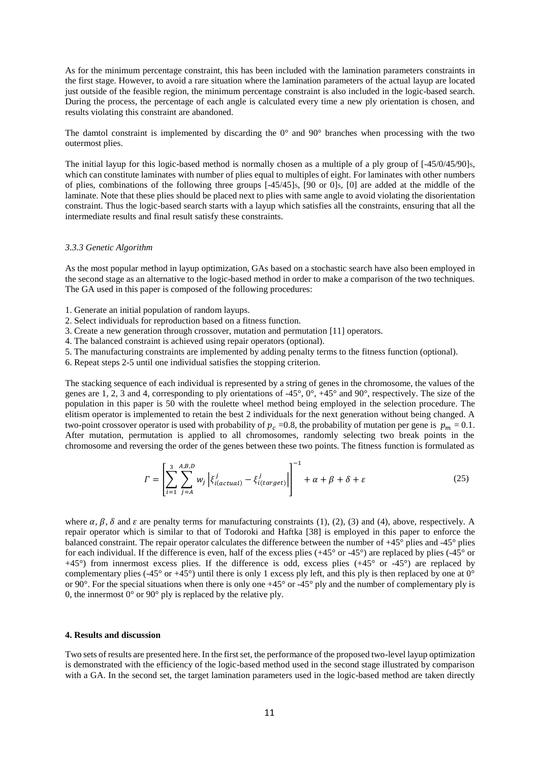As for the minimum percentage constraint, this has been included with the lamination parameters constraints in the first stage. However, to avoid a rare situation where the lamination parameters of the actual layup are located just outside of the feasible region, the minimum percentage constraint is also included in the logic-based search. During the process, the percentage of each angle is calculated every time a new ply orientation is chosen, and results violating this constraint are abandoned.

The damtol constraint is implemented by discarding the 0° and 90° branches when processing with the two outermost plies.

The initial layup for this logic-based method is normally chosen as a multiple of a ply group of  $[-45/0/45/90]$ s, which can constitute laminates with number of plies equal to multiples of eight. For laminates with other numbers of plies, combinations of the following three groups  $[-45/45]$ s, [90 or 0]s, [0] are added at the middle of the laminate. Note that these plies should be placed next to plies with same angle to avoid violating the disorientation constraint. Thus the logic-based search starts with a layup which satisfies all the constraints, ensuring that all the intermediate results and final result satisfy these constraints.

### *3.3.3 Genetic Algorithm*

As the most popular method in layup optimization, GAs based on a stochastic search have also been employed in the second stage as an alternative to the logic-based method in order to make a comparison of the two techniques. The GA used in this paper is composed of the following procedures:

- 1. Generate an initial population of random layups.
- 2. Select individuals for reproduction based on a fitness function.
- 3. Create a new generation through crossover, mutation and permutation [11] operators.
- 4. The balanced constraint is achieved using repair operators (optional).
- 5. The manufacturing constraints are implemented by adding penalty terms to the fitness function (optional).

6. Repeat steps 2-5 until one individual satisfies the stopping criterion.

The stacking sequence of each individual is represented by a string of genes in the chromosome, the values of the genes are 1, 2, 3 and 4, corresponding to ply orientations of  $-45^\circ$ ,  $0^\circ$ ,  $+45^\circ$  and  $90^\circ$ , respectively. The size of the population in this paper is 50 with the roulette wheel method being employed in the selection procedure. The elitism operator is implemented to retain the best 2 individuals for the next generation without being changed. A two-point crossover operator is used with probability of  $p_c = 0.8$ , the probability of mutation per gene is  $p_m = 0.1$ . After mutation, permutation is applied to all chromosomes, randomly selecting two break points in the chromosome and reversing the order of the genes between these two points. The fitness function is formulated as

$$
\Gamma = \left[ \sum_{i=1}^{3} \sum_{j=A}^{A,B,D} w_j \left| \xi_{i(actual)}^j - \xi_{i(target)}^j \right| \right]^{-1} + \alpha + \beta + \delta + \varepsilon \tag{25}
$$

where  $\alpha$ ,  $\beta$ ,  $\delta$  and  $\varepsilon$  are penalty terms for manufacturing constraints (1), (2), (3) and (4), above, respectively. A repair operator which is similar to that of Todoroki and Haftka [38] is employed in this paper to enforce the balanced constraint. The repair operator calculates the difference between the number of +45° plies and -45° plies for each individual. If the difference is even, half of the excess plies (+45 $\degree$  or -45 $\degree$ ) are replaced by plies (-45 $\degree$  or +45°) from innermost excess plies. If the difference is odd, excess plies (+45° or -45°) are replaced by complementary plies (-45° or +45°) until there is only 1 excess ply left, and this ply is then replaced by one at  $0^{\circ}$ or 90°. For the special situations when there is only one +45° or -45° ply and the number of complementary ply is 0, the innermost  $0^{\circ}$  or  $90^{\circ}$  ply is replaced by the relative ply.

# **4. Results and discussion**

Two sets of results are presented here. In the first set, the performance of the proposed two-level layup optimization is demonstrated with the efficiency of the logic-based method used in the second stage illustrated by comparison with a GA. In the second set, the target lamination parameters used in the logic-based method are taken directly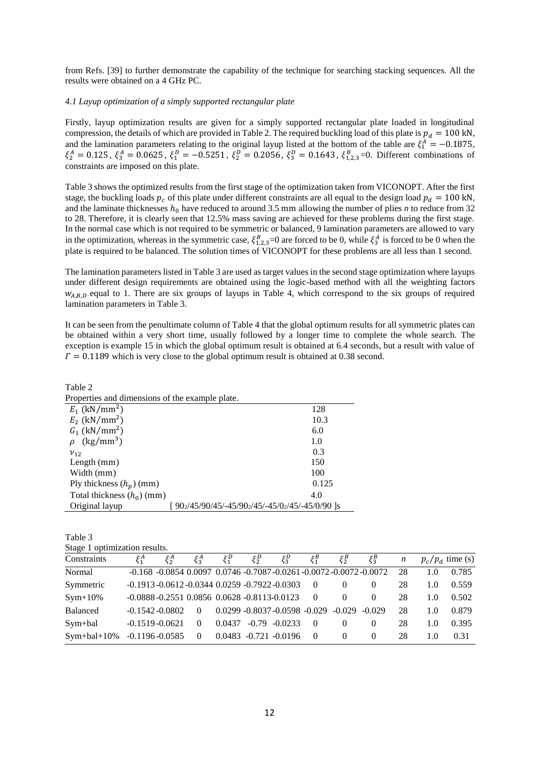from Refs. [39] to further demonstrate the capability of the technique for searching stacking sequences. All the results were obtained on a 4 GHz PC.

# *4.1 Layup optimization of a simply supported rectangular plate*

Firstly, layup optimization results are given for a simply supported rectangular plate loaded in longitudinal compression, the details of which are provided in Table 2. The required buckling load of this plate is  $p_d = 100$  kN, and the lamination parameters relating to the original layup listed at the bottom of the table are  $\xi_1^A = -0.1875$ ,  $\xi_2^A = 0.125$ ,  $\xi_3^A = 0.0625$ ,  $\xi_1^D = -0.5251$ ,  $\xi_2^D = 0.2056$ ,  $\xi_3^D = 0.1643$ ,  $\xi_{1,2,3}^B = 0$ . Different combinations of constraints are imposed on this plate.

Table 3 shows the optimized results from the first stage of the optimization taken from VICONOPT. After the first stage, the buckling loads  $p_c$  of this plate under different constraints are all equal to the design load  $p_d = 100$  kN, and the laminate thicknesses  $h_0$  have reduced to around 3.5 mm allowing the number of plies *n* to reduce from 32 to 28. Therefore, it is clearly seen that 12.5% mass saving are achieved for these problems during the first stage. In the normal case which is not required to be symmetric or balanced, 9 lamination parameters are allowed to vary in the optimization, whereas in the symmetric case,  $\xi_{1,2,3}^B$ =0 are forced to be 0, while  $\xi_3^A$  is forced to be 0 when the plate is required to be balanced. The solution times of VICONOPT for these problems are all less than 1 second.

The lamination parameters listed in Table 3 are used as target values in the second stage optimization where layups under different design requirements are obtained using the logic-based method with all the weighting factors  $W_{A,B,D}$  equal to 1. There are six groups of layups in Table 4, which correspond to the six groups of required lamination parameters in Table 3.

It can be seen from the penultimate column of Table 4 that the global optimum results for all symmetric plates can be obtained within a very short time, usually followed by a longer time to complete the whole search. The exception is example 15 in which the global optimum result is obtained at 6.4 seconds, but a result with value of  $\Gamma = 0.1189$  which is very close to the global optimum result is obtained at 0.38 second.

Table 2

| Properties and dimensions of the example plate.                              |       |
|------------------------------------------------------------------------------|-------|
| $E_1$ (kN/mm <sup>2</sup> )                                                  | 128   |
| $E_2$ (kN/mm <sup>2</sup> )                                                  | 10.3  |
| $G_1$ (kN/mm <sup>2</sup> )                                                  | 6.0   |
| $(kg/mm^3)$                                                                  | 1.0   |
| $v_{12}$                                                                     | 0.3   |
| Length (mm)                                                                  | 150   |
| Width (mm)                                                                   | 100   |
| Ply thickness $(h_p)$ (mm)                                                   | 0.125 |
| Total thickness $(h_0)$ (mm)                                                 | 4.0   |
| 902/45/90/45/-45/902/45/-45/02/45/-45/0/90 ls <sup>-</sup><br>Original layup |       |

Table 3 Stage 1 optimization results.

| Constraints       | $\xi^A$            | $\xi^A$ | $\xi^A$  | $\xi_1^D$ | ξŋ      | $\xi_3^p$                                                                          | $\xi_1^B$ | $\xi_2^B$ | $\xi_5^B$ | n  |     | $p_c / p_d$ time (s) |
|-------------------|--------------------|---------|----------|-----------|---------|------------------------------------------------------------------------------------|-----------|-----------|-----------|----|-----|----------------------|
| Normal            |                    |         |          |           |         | $-0.168$ $-0.0854$ 0.0097 0.0746 $-0.7087$ $-0.0261$ $-0.0072$ $-0.0072$ $-0.0072$ |           |           |           | 28 | 10  | 0.785                |
| Symmetric         |                    |         |          |           |         | $-0.1913 - 0.0612 - 0.0344$ $0.0259 - 0.7922 - 0.0303$                             | $\Omega$  |           | 0         | 28 | 1.0 | 0.559                |
| $Sym+10\%$        |                    |         |          |           |         | $-0.0888 - 0.2551$ $0.0856$ $0.0628 - 0.8113 - 0.0123$                             | $\Omega$  | $\Omega$  | $^{(1)}$  | 28 | 1.0 | 0.502                |
| <b>Balanced</b>   | $-0.1542 - 0.0802$ |         | $\Omega$ |           |         | $0.0299 - 0.8037 - 0.0598 - 0.029$                                                 |           | $-0.029$  | $-0.029$  | 28 | 10  | 0.879                |
| Sym+bal           | $-0.1519 - 0.0621$ |         | $\Omega$ | 0.0437    | $-0.79$ | $-0.0233$                                                                          | $\Omega$  |           | $^{(1)}$  | 28 | 1.0 | 0.395                |
| $Sym + bal + 10%$ | $-0.1196 - 0.0585$ |         | $\theta$ | 0.0483    |         | $-0.721 - 0.0196$                                                                  | $\Omega$  | $\Omega$  | $\theta$  | 28 | 10  | 0.31                 |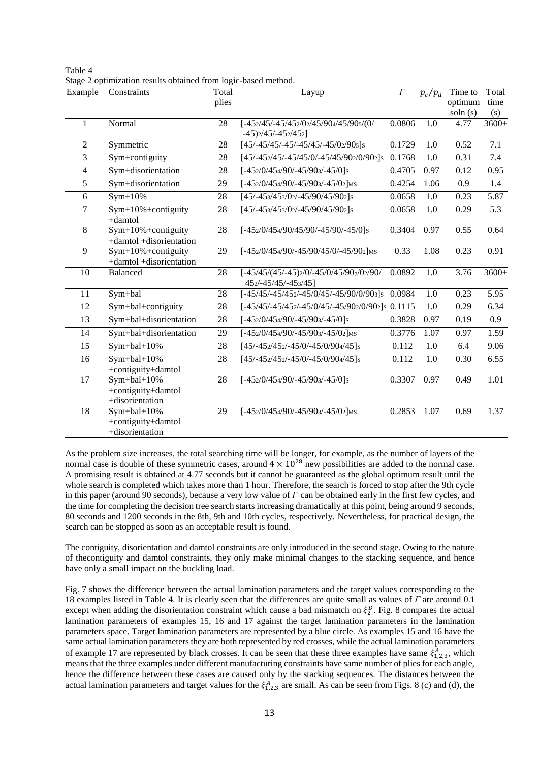Table 4 Stage 2 optimization results obtained from logic-based method.

| Example                 | Constraints                                             | Total  | Layup                                                                                                   | $\Gamma$ | $p_c/p_d$ | Time to          | Total   |
|-------------------------|---------------------------------------------------------|--------|---------------------------------------------------------------------------------------------------------|----------|-----------|------------------|---------|
|                         |                                                         | plies  |                                                                                                         |          |           | optimum          | time    |
|                         |                                                         |        |                                                                                                         |          |           | $\text{soln}(s)$ | (s)     |
| $\mathbf{1}$            | Normal                                                  | 28     | $[-452/45/-45/452/02/45/904/45/905/(0/$<br>$-45)$ <sub>2</sub> /45/-45 <sub>2</sub> /45 <sub>2</sub> ]  | 0.0806   | 1.0       | 4.77             | $3600+$ |
| 2                       | Symmetric                                               | 28     | $[45/-45/45/-45/-45/45/-45/02/905]$ s                                                                   | 0.1729   | 1.0       | 0.52             | 7.1     |
| 3                       | Sym+contiguity                                          | 28     | [45/-452/45/-45/45/0/-45/45/902/0/902]s                                                                 | 0.1768   | 1.0       | 0.31             | 7.4     |
| $\overline{\mathbf{4}}$ | Sym+disorientation                                      | 28     | $[-452/0/454/90/-45/903/-45/0]$ s                                                                       | 0.4705   | 0.97      | 0.12             | 0.95    |
| 5                       | Sym+disorientation                                      | 29     | $[-452/0/454/90/-45/903/-45/02]$ MS                                                                     | 0.4254   | 1.06      | 0.9              | 1.4     |
| 6                       | $Sym+10\%$                                              | 28     | $[45/-453/453/02/-45/90/45/902]$ s                                                                      | 0.0658   | 1.0       | 0.23             | 5.87    |
| 7                       | Sym+10%+contiguity<br>$+$ damtol                        | 28     | $[45/-453/453/02/-45/90/45/902]$ s                                                                      | 0.0658   | 1.0       | 0.29             | 5.3     |
| 8                       | Sym+10%+contiguity<br>+damtol +disorientation           | 28     | $[-452/0/454/90/45/90/-45/90/-45/0]$ s                                                                  | 0.3404   | 0.97      | 0.55             | 0.64    |
| 9                       | Sym+10%+contiguity<br>+damtol +disorientation           | 29     | $[-452/0/454/90/-45/90/45/0/-45/902]$ MS                                                                | 0.33     | 1.08      | 0.23             | 0.91    |
| 10                      | Balanced                                                | 28     | $[-45/45/(45/-45)$ <sub>2</sub> /0/-45/0/45/90 <sub>7</sub> /0 <sub>2</sub> /90/<br>452/-45/45/-453/45] | 0.0892   | 1.0       | 3.76             | $3600+$ |
| 11                      | Sym+bal                                                 | 28     | $[-45/45/-45/452/-45/0/45/-45/90/0/903]$ s                                                              | 0.0984   | 1.0       | 0.23             | 5.95    |
| 12                      | Sym+bal+contiguity                                      | 28     | $[-45/45/-45/452/-45/0/45/-45/902/0/902]$ s 0.1115                                                      |          | 1.0       | 0.29             | 6.34    |
| 13                      | Sym+bal+disorientation                                  | $28\,$ | $[-452/0/454/90/-45/903/-45/0]$ s                                                                       | 0.3828   | 0.97      | 0.19             | 0.9     |
| 14                      | Sym+bal+disorientation                                  | 29     | $[-452/0/454/90/-45/903/-45/02]$ MS                                                                     | 0.3776   | 1.07      | 0.97             | 1.59    |
| 15                      | $Sym+bal+10\%$                                          | 28     | $[45/-45_2/45_2/-45/0/-45/0/90_4/45]$ s                                                                 | 0.112    | 1.0       | 6.4              | 9.06    |
| 16                      | $Sym+bal+10\%$<br>+contiguity+damtol                    | 28     | $[45/-45_2/45_2/-45/0/-45/0/90_4/45]$ s                                                                 | 0.112    | 1.0       | 0.30             | 6.55    |
| 17                      | $Sym+bal+10\%$<br>+contiguity+damtol<br>+disorientation | 28     | $[-452/0/454/90/-45/903/-45/0]$ s                                                                       | 0.3307   | 0.97      | 0.49             | 1.01    |
| 18                      | $Sym+bal+10\%$<br>+contiguity+damtol<br>+disorientation | 29     | $[-452/0/454/90/-45/903/-45/02]$ MS                                                                     | 0.2853   | 1.07      | 0.69             | 1.37    |

As the problem size increases, the total searching time will be longer, for example, as the number of layers of the normal case is double of these symmetric cases, around  $4 \times 10^{28}$  new possibilities are added to the normal case. A promising result is obtained at 4.77 seconds but it cannot be guaranteed as the global optimum result until the whole search is completed which takes more than 1 hour. Therefore, the search is forced to stop after the 9th cycle in this paper (around 90 seconds), because a very low value of  $\Gamma$  can be obtained early in the first few cycles, and the time for completing the decision tree search starts increasing dramatically at this point, being around 9 seconds, 80 seconds and 1200 seconds in the 8th, 9th and 10th cycles, respectively. Nevertheless, for practical design, the search can be stopped as soon as an acceptable result is found.

The contiguity, disorientation and damtol constraints are only introduced in the second stage. Owing to the nature of thecontiguity and damtol constraints, they only make minimal changes to the stacking sequence, and hence have only a small impact on the buckling load.

Fig. 7 shows the difference between the actual lamination parameters and the target values corresponding to the 18 examples listed in Table 4. It is clearly seen that the differences are quite small as values of *Γ* are around 0.1 except when adding the disorientation constraint which cause a bad mismatch on  $\xi_2^D$ . Fig. 8 compares the actual lamination parameters of examples 15, 16 and 17 against the target lamination parameters in the lamination parameters space. Target lamination parameters are represented by a blue circle. As examples 15 and 16 have the same actual lamination parameters they are both represented by red crosses, while the actual lamination parameters of example 17 are represented by black crosses. It can be seen that these three examples have same  $\xi_{1,2,3}^A$ , which means that the three examples under different manufacturing constraints have same number of plies for each angle, hence the difference between these cases are caused only by the stacking sequences. The distances between the actual lamination parameters and target values for the  $\xi_{1,2,3}^A$  are small. As can be seen from Figs. 8 (c) and (d), the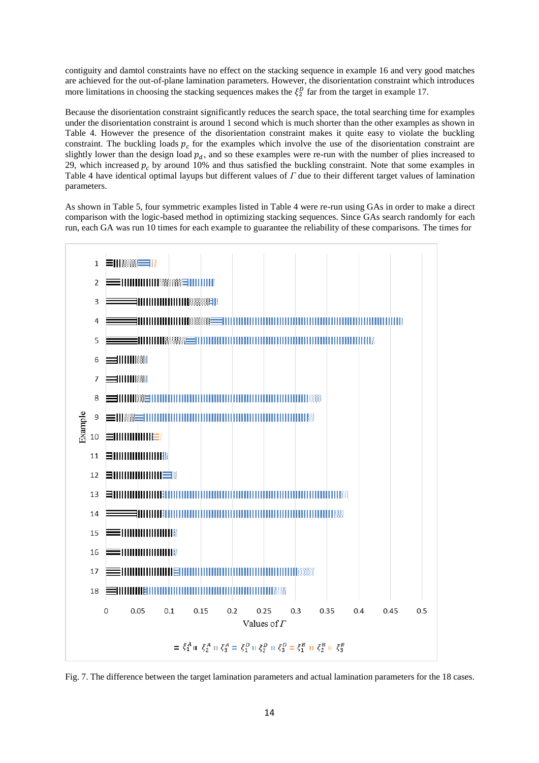contiguity and damtol constraints have no effect on the stacking sequence in example 16 and very good matches are achieved for the out-of-plane lamination parameters. However, the disorientation constraint which introduces more limitations in choosing the stacking sequences makes the  $\xi_2^D$  far from the target in example 17.

Because the disorientation constraint significantly reduces the search space, the total searching time for examples under the disorientation constraint is around 1 second which is much shorter than the other examples as shown in Table 4. However the presence of the disorientation constraint makes it quite easy to violate the buckling constraint. The buckling loads  $p_c$  for the examples which involve the use of the disorientation constraint are slightly lower than the design load  $p_d$ , and so these examples were re-run with the number of plies increased to 29, which increased  $p_c$  by around 10% and thus satisfied the buckling constraint. Note that some examples in Table 4 have identical optimal layups but different values of *Γ* due to their different target values of lamination parameters.

As shown in Table 5, four symmetric examples listed in Table 4 were re-run using GAs in order to make a direct comparison with the logic-based method in optimizing stacking sequences. Since GAs search randomly for each run, each GA was run 10 times for each example to guarantee the reliability of these comparisons. The times for



Fig. 7. The difference between the target lamination parameters and actual lamination parameters for the 18 cases.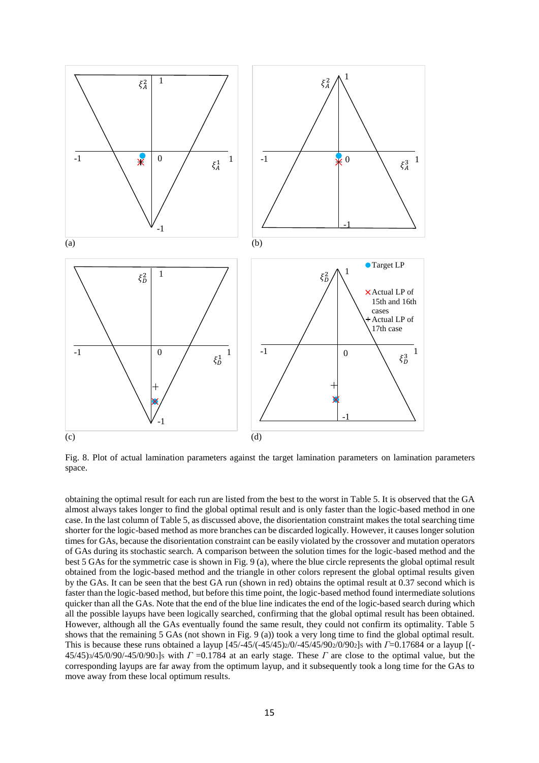

Fig. 8. Plot of actual lamination parameters against the target lamination parameters on lamination parameters space.

obtaining the optimal result for each run are listed from the best to the worst in Table 5. It is observed that the GA almost always takes longer to find the global optimal result and is only faster than the logic-based method in one case. In the last column of Table 5, as discussed above, the disorientation constraint makes the total searching time shorter for the logic-based method as more branches can be discarded logically. However, it causes longer solution times for GAs, because the disorientation constraint can be easily violated by the crossover and mutation operators of GAs during its stochastic search. A comparison between the solution times for the logic-based method and the best 5 GAs for the symmetric case is shown in Fig. 9 (a), where the blue circle represents the global optimal result obtained from the logic-based method and the triangle in other colors represent the global optimal results given by the GAs. It can be seen that the best GA run (shown in red) obtains the optimal result at 0.37 second which is faster than the logic-based method, but before this time point, the logic-based method found intermediate solutions quicker than all the GAs. Note that the end of the blue line indicates the end of the logic-based search during which all the possible layups have been logically searched, confirming that the global optimal result has been obtained. However, although all the GAs eventually found the same result, they could not confirm its optimality. Table 5 shows that the remaining 5 GAs (not shown in Fig. 9 (a)) took a very long time to find the global optimal result. This is because these runs obtained a layup [45/-45/(-45/45)<sup>2</sup>/0/-45/45/90<sup>2</sup>/0/902]s with *Γ*=0.17684 or a layup [(-45/45)3/45/0/90/-45/0/903]<sup>S</sup> with *Γ* =0.1784 at an early stage. These *Γ* are close to the optimal value, but the corresponding layups are far away from the optimum layup, and it subsequently took a long time for the GAs to move away from these local optimum results.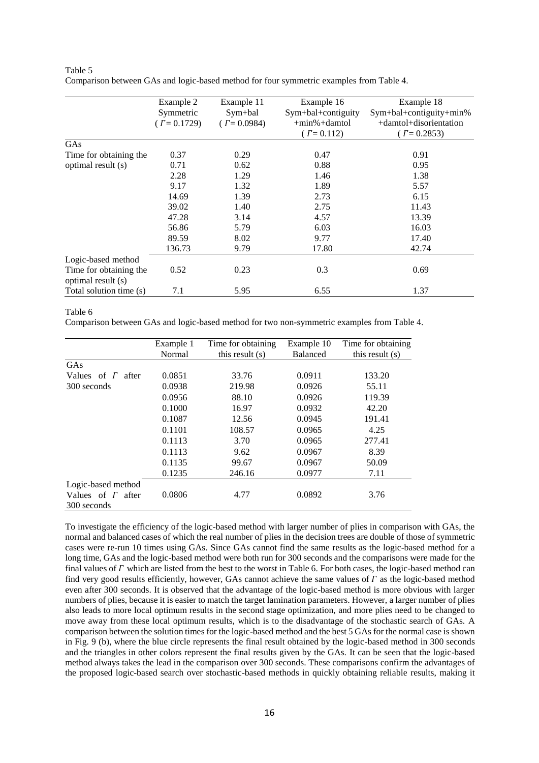|                                               | Example 2    | Example 11   | Example 16         | Example 18              |
|-----------------------------------------------|--------------|--------------|--------------------|-------------------------|
|                                               | Symmetric    | Sym+bal      | Sym+bal+contiguity | Sym+bal+contiguity+min% |
|                                               | $(T=0.1729)$ | $(T=0.0984)$ | $+min\% +damtol$   | +damtol+disorientation  |
|                                               |              |              | $(T=0.112)$        | $(T=0.2853)$            |
| GAs                                           |              |              |                    |                         |
| Time for obtaining the                        | 0.37         | 0.29         | 0.47               | 0.91                    |
| optimal result (s)                            | 0.71         | 0.62         | 0.88               | 0.95                    |
|                                               | 2.28         | 1.29         | 1.46               | 1.38                    |
|                                               | 9.17         | 1.32         | 1.89               | 5.57                    |
|                                               | 14.69        | 1.39         | 2.73               | 6.15                    |
|                                               | 39.02        | 1.40         | 2.75               | 11.43                   |
|                                               | 47.28        | 3.14         | 4.57               | 13.39                   |
|                                               | 56.86        | 5.79         | 6.03               | 16.03                   |
|                                               | 89.59        | 8.02         | 9.77               | 17.40                   |
|                                               | 136.73       | 9.79         | 17.80              | 42.74                   |
| Logic-based method                            |              |              |                    |                         |
| Time for obtaining the.<br>optimal result (s) | 0.52         | 0.23         | 0.3                | 0.69                    |
| Total solution time (s)                       | 7.1          | 5.95         | 6.55               | 1.37                    |

| Table 5                                                                                 |  |
|-----------------------------------------------------------------------------------------|--|
| Comparison between GAs and logic-based method for four symmetric examples from Table 4. |  |

## Table 6

Comparison between GAs and logic-based method for two non-symmetric examples from Table 4.

|                                | Example 1 | Time for obtaining | Example 10      | Time for obtaining |
|--------------------------------|-----------|--------------------|-----------------|--------------------|
|                                | Normal    | this result $(s)$  | <b>Balanced</b> | this result $(s)$  |
| GAs                            |           |                    |                 |                    |
| Values<br>of $\Gamma$<br>after | 0.0851    | 33.76              | 0.0911          | 133.20             |
| 300 seconds                    | 0.0938    | 219.98             | 0.0926          | 55.11              |
|                                | 0.0956    | 88.10              | 0.0926          | 119.39             |
|                                | 0.1000    | 16.97              | 0.0932          | 42.20              |
|                                | 0.1087    | 12.56              | 0.0945          | 191.41             |
|                                | 0.1101    | 108.57             | 0.0965          | 4.25               |
|                                | 0.1113    | 3.70               | 0.0965          | 277.41             |
|                                | 0.1113    | 9.62               | 0.0967          | 8.39               |
|                                | 0.1135    | 99.67              | 0.0967          | 50.09              |
|                                | 0.1235    | 246.16             | 0.0977          | 7.11               |
| Logic-based method             |           |                    |                 |                    |
| Values of $\Gamma$<br>after    | 0.0806    | 4.77               | 0.0892          | 3.76               |
| 300 seconds                    |           |                    |                 |                    |

To investigate the efficiency of the logic-based method with larger number of plies in comparison with GAs, the normal and balanced cases of which the real number of plies in the decision trees are double of those of symmetric cases were re-run 10 times using GAs. Since GAs cannot find the same results as the logic-based method for a long time, GAs and the logic-based method were both run for 300 seconds and the comparisons were made for the final values of  $\Gamma$  which are listed from the best to the worst in Table 6. For both cases, the logic-based method can find very good results efficiently, however, GAs cannot achieve the same values of  $\Gamma$  as the logic-based method even after 300 seconds. It is observed that the advantage of the logic-based method is more obvious with larger numbers of plies, because it is easier to match the target lamination parameters. However, a larger number of plies also leads to more local optimum results in the second stage optimization, and more plies need to be changed to move away from these local optimum results, which is to the disadvantage of the stochastic search of GAs. A comparison between the solution times for the logic-based method and the best 5 GAs for the normal case is shown in Fig. 9 (b), where the blue circle represents the final result obtained by the logic-based method in 300 seconds and the triangles in other colors represent the final results given by the GAs. It can be seen that the logic-based method always takes the lead in the comparison over 300 seconds. These comparisons confirm the advantages of the proposed logic-based search over stochastic-based methods in quickly obtaining reliable results, making it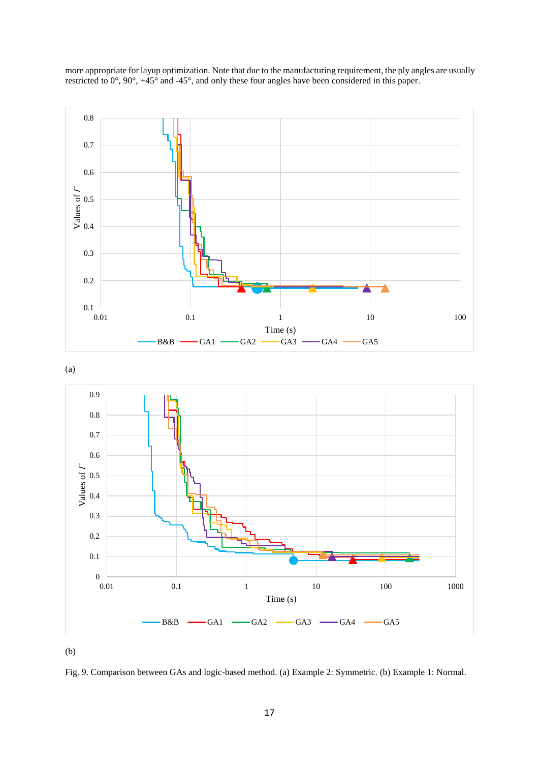more appropriate for layup optimization. Note that due to the manufacturing requirement, the ply angles are usually restricted to  $0^{\circ}$ ,  $90^{\circ}$ ,  $+45^{\circ}$  and  $-45^{\circ}$ , and only these four angles have been considered in this paper.



(b)

Fig. 9. Comparison between GAs and logic-based method. (a) Example 2: Symmetric. (b) Example 1: Normal.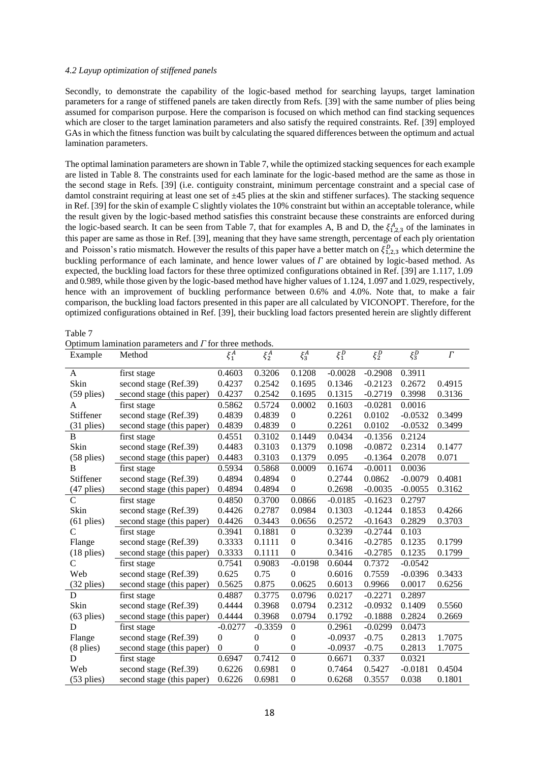#### *4.2 Layup optimization of stiffened panels*

Secondly, to demonstrate the capability of the logic-based method for searching layups, target lamination parameters for a range of stiffened panels are taken directly from Refs. [39] with the same number of plies being assumed for comparison purpose. Here the comparison is focused on which method can find stacking sequences which are closer to the target lamination parameters and also satisfy the required constraints. Ref. [39] employed GAs in which the fitness function was built by calculating the squared differences between the optimum and actual lamination parameters.

The optimal lamination parameters are shown in Table 7, while the optimized stacking sequences for each example are listed in Table 8. The constraints used for each laminate for the logic-based method are the same as those in the second stage in Refs. [39] (i.e. contiguity constraint, minimum percentage constraint and a special case of damtol constraint requiring at least one set of  $\pm 45$  plies at the skin and stiffener surfaces). The stacking sequence in Ref. [39] for the skin of example C slightly violates the 10% constraint but within an acceptable tolerance, while the result given by the logic-based method satisfies this constraint because these constraints are enforced during the logic-based search. It can be seen from Table 7, that for examples A, B and D, the  $\xi_{1,2,3}^A$  of the laminates in this paper are same as those in Ref. [39], meaning that they have same strength, percentage of each ply orientation and Poisson's ratio mismatch. However the results of this paper have a better match on  $\xi_{1,2,3}^D$  which determine the buckling performance of each laminate, and hence lower values of  $\Gamma$  are obtained by logic-based method. As expected, the buckling load factors for these three optimized configurations obtained in Ref. [39] are 1.117, 1.09 and 0.989, while those given by the logic-based method have higher values of 1.124, 1.097 and 1.029, respectively, hence with an improvement of buckling performance between 0.6% and 4.0%. Note that, to make a fair comparison, the buckling load factors presented in this paper are all calculated by VICONOPT. Therefore, for the optimized configurations obtained in Ref. [39], their buckling load factors presented herein are slightly different

Table 7

Optimum lamination parameters and *Γ* for three methods.

| Example              | Method                    | $\xi_1^A$        | $\xi_2^A$      | $\xi_3^A$        | $\xi_1^D$ | $\xi_2^D$ | $\xi_3^D$ | $\Gamma$ |
|----------------------|---------------------------|------------------|----------------|------------------|-----------|-----------|-----------|----------|
| A                    | first stage               | 0.4603           | 0.3206         | 0.1208           | $-0.0028$ | $-0.2908$ | 0.3911    |          |
| Skin                 | second stage (Ref.39)     | 0.4237           | 0.2542         | 0.1695           | 0.1346    | $-0.2123$ | 0.2672    | 0.4915   |
| (59 plies)           | second stage (this paper) | 0.4237           | 0.2542         | 0.1695           | 0.1315    | $-0.2719$ | 0.3998    | 0.3136   |
| A                    | first stage               | 0.5862           | 0.5724         | 0.0002           | 0.1603    | $-0.0281$ | 0.0016    |          |
| Stiffener            | second stage (Ref.39)     | 0.4839           | 0.4839         | $\theta$         | 0.2261    | 0.0102    | $-0.0532$ | 0.3499   |
| $(31 \text{ plies})$ | second stage (this paper) | 0.4839           | 0.4839         | $\mathbf{0}$     | 0.2261    | 0.0102    | $-0.0532$ | 0.3499   |
| <sub>B</sub>         | first stage               | 0.4551           | 0.3102         | 0.1449           | 0.0434    | $-0.1356$ | 0.2124    |          |
| Skin                 | second stage (Ref.39)     | 0.4483           | 0.3103         | 0.1379           | 0.1098    | $-0.0872$ | 0.2314    | 0.1477   |
| (58 plies)           | second stage (this paper) | 0.4483           | 0.3103         | 0.1379           | 0.095     | $-0.1364$ | 0.2078    | 0.071    |
| B                    | first stage               | 0.5934           | 0.5868         | 0.0009           | 0.1674    | $-0.0011$ | 0.0036    |          |
| Stiffener            | second stage (Ref.39)     | 0.4894           | 0.4894         | $\mathbf{0}$     | 0.2744    | 0.0862    | $-0.0079$ | 0.4081   |
| $(47 \text{ plies})$ | second stage (this paper) | 0.4894           | 0.4894         | $\mathbf{0}$     | 0.2698    | $-0.0035$ | $-0.0055$ | 0.3162   |
| $\mathcal{C}$        | first stage               | 0.4850           | 0.3700         | 0.0866           | $-0.0185$ | $-0.1623$ | 0.2797    |          |
| Skin                 | second stage (Ref.39)     | 0.4426           | 0.2787         | 0.0984           | 0.1303    | $-0.1244$ | 0.1853    | 0.4266   |
| $(61$ plies)         | second stage (this paper) | 0.4426           | 0.3443         | 0.0656           | 0.2572    | $-0.1643$ | 0.2829    | 0.3703   |
| C                    | first stage               | 0.3941           | 0.1881         | $\mathbf{0}$     | 0.3239    | $-0.2744$ | 0.103     |          |
| Flange               | second stage (Ref.39)     | 0.3333           | 0.1111         | $\boldsymbol{0}$ | 0.3416    | $-0.2785$ | 0.1235    | 0.1799   |
| $(18$ plies)         | second stage (this paper) | 0.3333           | 0.1111         | $\mathbf{0}$     | 0.3416    | $-0.2785$ | 0.1235    | 0.1799   |
| C                    | first stage               | 0.7541           | 0.9083         | $-0.0198$        | 0.6044    | 0.7372    | $-0.0542$ |          |
| Web                  | second stage (Ref.39)     | 0.625            | 0.75           | $\mathbf{0}$     | 0.6016    | 0.7559    | $-0.0396$ | 0.3433   |
| $(32 \text{ plies})$ | second stage (this paper) | 0.5625           | 0.875          | 0.0625           | 0.6013    | 0.9966    | 0.0017    | 0.6256   |
| D                    | first stage               | 0.4887           | 0.3775         | 0.0796           | 0.0217    | $-0.2271$ | 0.2897    |          |
| Skin                 | second stage (Ref.39)     | 0.4444           | 0.3968         | 0.0794           | 0.2312    | $-0.0932$ | 0.1409    | 0.5560   |
| $(63 \text{ plies})$ | second stage (this paper) | 0.4444           | 0.3968         | 0.0794           | 0.1792    | $-0.1888$ | 0.2824    | 0.2669   |
| D                    | first stage               | $-0.0277$        | $-0.3359$      | $\mathbf{0}$     | 0.2961    | $-0.0299$ | 0.0473    |          |
| Flange               | second stage (Ref.39)     | $\boldsymbol{0}$ | $\mathbf{0}$   | $\boldsymbol{0}$ | $-0.0937$ | $-0.75$   | 0.2813    | 1.7075   |
| (8 plies)            | second stage (this paper) | $\theta$         | $\overline{0}$ | $\boldsymbol{0}$ | $-0.0937$ | $-0.75$   | 0.2813    | 1.7075   |
| D                    | first stage               | 0.6947           | 0.7412         | $\boldsymbol{0}$ | 0.6671    | 0.337     | 0.0321    |          |
| Web                  | second stage (Ref.39)     | 0.6226           | 0.6981         | $\boldsymbol{0}$ | 0.7464    | 0.5427    | $-0.0181$ | 0.4504   |
| $(53$ plies)         | second stage (this paper) | 0.6226           | 0.6981         | $\boldsymbol{0}$ | 0.6268    | 0.3557    | 0.038     | 0.1801   |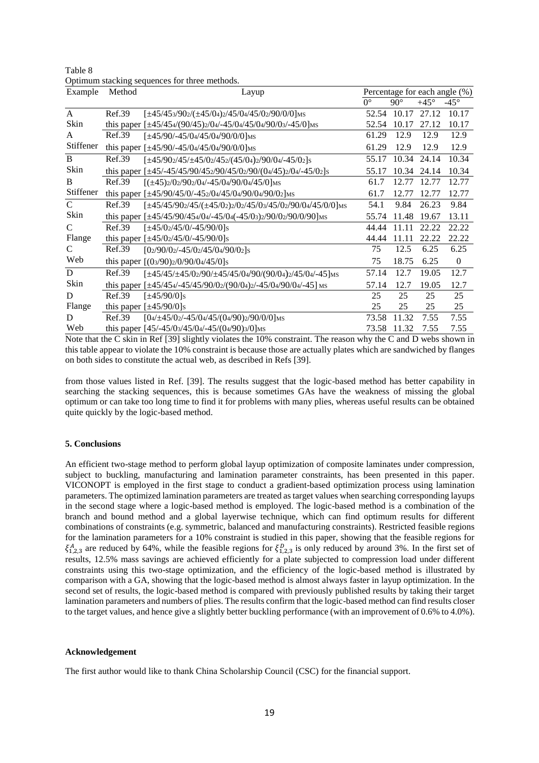Table 8 Optimum stacking sequences for three methods.

| Example      | Method     | Layup                                                                                                                                                            |             |            |               | Percentage for each angle (%) |
|--------------|------------|------------------------------------------------------------------------------------------------------------------------------------------------------------------|-------------|------------|---------------|-------------------------------|
|              |            |                                                                                                                                                                  | $0^{\circ}$ | $90^\circ$ | $+45^{\circ}$ | $-45^\circ$                   |
| $\mathsf{A}$ | Ref.39     | $[\pm 45/45_3/90_2/(\pm 45/0_4)2/45/0_4/45/0_2/90/0/0]$ MS                                                                                                       | 52.54       | 10.17      | 27.12         | 10.17                         |
| Skin         |            | this paper $[\pm 45/454/(90/45)2/04/-45/04/45/04/90/03/-45/0]$ MS                                                                                                | 52.54       | 10.17      | 27.12         | 10.17                         |
| A            | Ref.39     | [±45/90/-45/04/45/04/90/0/0]мs                                                                                                                                   | 61.29       | 12.9       | 12.9          | 12.9                          |
| Stiffener    | this paper | $[\pm 45/90/-45/04/45/04/90/0/0]$ MS                                                                                                                             | 61.29       | 12.9       | 12.9          | 12.9                          |
| <sub>B</sub> | Ref.39     | $[\pm 45/90$ <sub>2</sub> /45/ $\pm 45/0$ <sub>2</sub> /45 <sub>2</sub> /(45/0 <sub>4</sub> ) <sub>2</sub> /90/0 <sub>4</sub> /-45/0 <sub>2</sub> ] <sub>S</sub> | 55.17       | 10.34      | 24.14         | 10.34                         |
| Skin         | this paper | $[\pm 45/ -45/45/90/452/90/45/02/90/(04/45)2/04/ -45/02]$ s                                                                                                      | 55.17       | 10.34      | 24.14         | 10.34                         |
| <sub>B</sub> | Ref.39     | $[(\pm 45)2/02/902/04/-45/04/90/04/45/0]$ MS                                                                                                                     | 61.7        | 12.77      | 12.77         | 12.77                         |
| Stiffener    | this paper | $[\pm 45/90/45/0/-45z/04/45/04/90/04/90/02]$ MS                                                                                                                  | 61.7        | 12.77      | 12.77         | 12.77                         |
| $\mathsf{C}$ | Ref.39     | $[\pm 45/45/90$ 2/45/( $\pm 45/0$ 2)2/02/45/03/45/02/90/04/45/0/0]MS                                                                                             | 54.1        | 9.84       | 26.23         | 9.84                          |
| Skin         |            | this paper $[\pm 45/45/90/454/04/-45/04(-45/03)2/90/02/90/0/90]$ MS                                                                                              | 55.74       | 11.48      | 19.67         | 13.11                         |
| C            | Ref.39     | $[\pm 45/0.2/45/0.45/90/0]$ s                                                                                                                                    | 44.44       | 11.11      | 22.22         | 22.22                         |
| Flange       |            | this paper $[\pm 45/0 \frac{2}{45}]/0$ -45/90/0]s                                                                                                                | 44.44       | 11.11      | 22.22         | 22.22                         |
| C            | Ref.39     | $[0_2/90/0_2/45/0_2/45/0_4/90/0_2]$ s                                                                                                                            | 75          | 12.5       | 6.25          | 6.25                          |
| Web          |            | this paper $[(03/90)2/0/90/04/45/0]$ s                                                                                                                           | 75          | 18.75      | 6.25          | $\overline{0}$                |
| D            | Ref.39     | $[\pm 45/45/\pm 45/0_2/90/\pm 45/45/0_4/90/(90/0_4)_2/45/0_4/-45]$ MS                                                                                            | 57.14       | 12.7       | 19.05         | 12.7                          |
| Skin         |            | this paper $[\pm 45/454/45/45/90/02/(90/04)2/45/04/90/04/45]$ MS                                                                                                 | 57.14       | 12.7       | 19.05         | 12.7                          |
| D            | Ref.39     | [ $\pm$ 45/90/0]s                                                                                                                                                | 25          | 25         | 25            | 25                            |
| Flange       |            | this paper $[\pm 45/90/0]$ s                                                                                                                                     | 25          | 25         | 25            | 25                            |
| D            | Ref.39     | $[04/\pm45/02/-45/04/45/(04/90)2/90/0/0]$ MS                                                                                                                     | 73.58       | 11.32      | 7.55          | 7.55                          |
| Web          |            | this paper $[45/-45/03/45/04/-45/(04/90)3/0]$ MS                                                                                                                 | 73.58       | 11.32      | 7.55          | 7.55                          |

Note that the C skin in Ref [39] slightly violates the 10% constraint. The reason why the C and D webs shown in this table appear to violate the 10% constraint is because those are actually plates which are sandwiched by flanges on both sides to constitute the actual web, as described in Refs [39].

from those values listed in Ref. [39]. The results suggest that the logic-based method has better capability in searching the stacking sequences, this is because sometimes GAs have the weakness of missing the global optimum or can take too long time to find it for problems with many plies, whereas useful results can be obtained quite quickly by the logic-based method.

# **5. Conclusions**

An efficient two-stage method to perform global layup optimization of composite laminates under compression, subject to buckling, manufacturing and lamination parameter constraints, has been presented in this paper. VICONOPT is employed in the first stage to conduct a gradient-based optimization process using lamination parameters. The optimized lamination parameters are treated as target values when searching corresponding layups in the second stage where a logic-based method is employed. The logic-based method is a combination of the branch and bound method and a global layerwise technique, which can find optimum results for different combinations of constraints (e.g. symmetric, balanced and manufacturing constraints). Restricted feasible regions for the lamination parameters for a 10% constraint is studied in this paper, showing that the feasible regions for  $\xi_{1,2,3}^A$  are reduced by 64%, while the feasible regions for  $\xi_{1,2,3}^D$  is only reduced by around 3%. In the first set of results, 12.5% mass savings are achieved efficiently for a plate subjected to compression load under different constraints using this two-stage optimization, and the efficiency of the logic-based method is illustrated by comparison with a GA, showing that the logic-based method is almost always faster in layup optimization. In the second set of results, the logic-based method is compared with previously published results by taking their target lamination parameters and numbers of plies. The results confirm that the logic-based method can find results closer to the target values, and hence give a slightly better buckling performance (with an improvement of 0.6% to 4.0%).

# **Acknowledgement**

The first author would like to thank China Scholarship Council (CSC) for the financial support.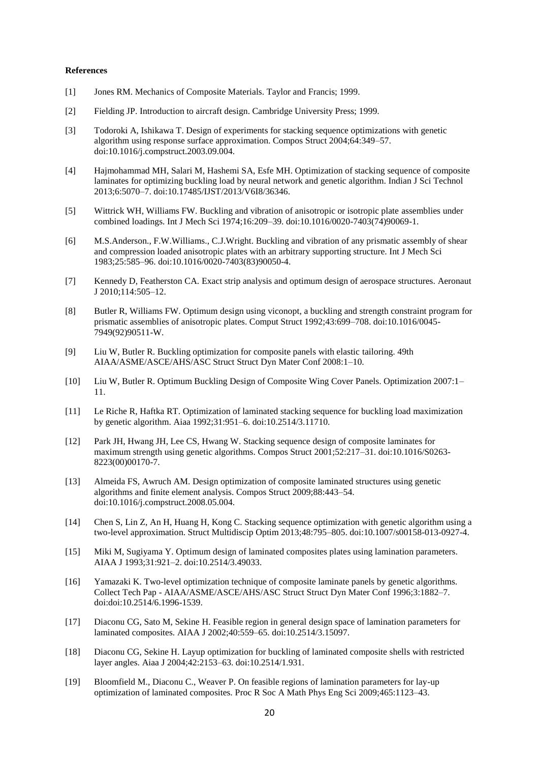### **References**

- [1] Jones RM. Mechanics of Composite Materials. Taylor and Francis; 1999.
- [2] Fielding JP. Introduction to aircraft design. Cambridge University Press; 1999.
- [3] Todoroki A, Ishikawa T. Design of experiments for stacking sequence optimizations with genetic algorithm using response surface approximation. Compos Struct 2004;64:349–57. doi:10.1016/j.compstruct.2003.09.004.
- [4] Hajmohammad MH, Salari M, Hashemi SA, Esfe MH. Optimization of stacking sequence of composite laminates for optimizing buckling load by neural network and genetic algorithm. Indian J Sci Technol 2013;6:5070–7. doi:10.17485/IJST/2013/V6I8/36346.
- [5] Wittrick WH, Williams FW. Buckling and vibration of anisotropic or isotropic plate assemblies under combined loadings. Int J Mech Sci 1974;16:209–39. doi:10.1016/0020-7403(74)90069-1.
- [6] M.S.Anderson., F.W.Williams., C.J.Wright. Buckling and vibration of any prismatic assembly of shear and compression loaded anisotropic plates with an arbitrary supporting structure. Int J Mech Sci 1983;25:585–96. doi:10.1016/0020-7403(83)90050-4.
- [7] Kennedy D, Featherston CA. Exact strip analysis and optimum design of aerospace structures. Aeronaut J 2010;114:505–12.
- [8] Butler R, Williams FW. Optimum design using viconopt, a buckling and strength constraint program for prismatic assemblies of anisotropic plates. Comput Struct 1992;43:699–708. doi:10.1016/0045- 7949(92)90511-W.
- [9] Liu W, Butler R. Buckling optimization for composite panels with elastic tailoring. 49th AIAA/ASME/ASCE/AHS/ASC Struct Struct Dyn Mater Conf 2008:1–10.
- [10] Liu W, Butler R. Optimum Buckling Design of Composite Wing Cover Panels. Optimization 2007:1– 11.
- [11] Le Riche R, Haftka RT. Optimization of laminated stacking sequence for buckling load maximization by genetic algorithm. Aiaa 1992;31:951–6. doi:10.2514/3.11710.
- [12] Park JH, Hwang JH, Lee CS, Hwang W. Stacking sequence design of composite laminates for maximum strength using genetic algorithms. Compos Struct 2001;52:217–31. doi:10.1016/S0263- 8223(00)00170-7.
- [13] Almeida FS, Awruch AM. Design optimization of composite laminated structures using genetic algorithms and finite element analysis. Compos Struct 2009;88:443–54. doi:10.1016/j.compstruct.2008.05.004.
- [14] Chen S, Lin Z, An H, Huang H, Kong C. Stacking sequence optimization with genetic algorithm using a two-level approximation. Struct Multidiscip Optim 2013;48:795–805. doi:10.1007/s00158-013-0927-4.
- [15] Miki M, Sugiyama Y. Optimum design of laminated composites plates using lamination parameters. AIAA J 1993;31:921–2. doi:10.2514/3.49033.
- [16] Yamazaki K. Two-level optimization technique of composite laminate panels by genetic algorithms. Collect Tech Pap - AIAA/ASME/ASCE/AHS/ASC Struct Struct Dyn Mater Conf 1996;3:1882–7. doi:doi:10.2514/6.1996-1539.
- [17] Diaconu CG, Sato M, Sekine H. Feasible region in general design space of lamination parameters for laminated composites. AIAA J 2002;40:559–65. doi:10.2514/3.15097.
- [18] Diaconu CG, Sekine H. Layup optimization for buckling of laminated composite shells with restricted layer angles. Aiaa J 2004;42:2153–63. doi:10.2514/1.931.
- [19] Bloomfield M., Diaconu C., Weaver P. On feasible regions of lamination parameters for lay-up optimization of laminated composites. Proc R Soc A Math Phys Eng Sci 2009;465:1123–43.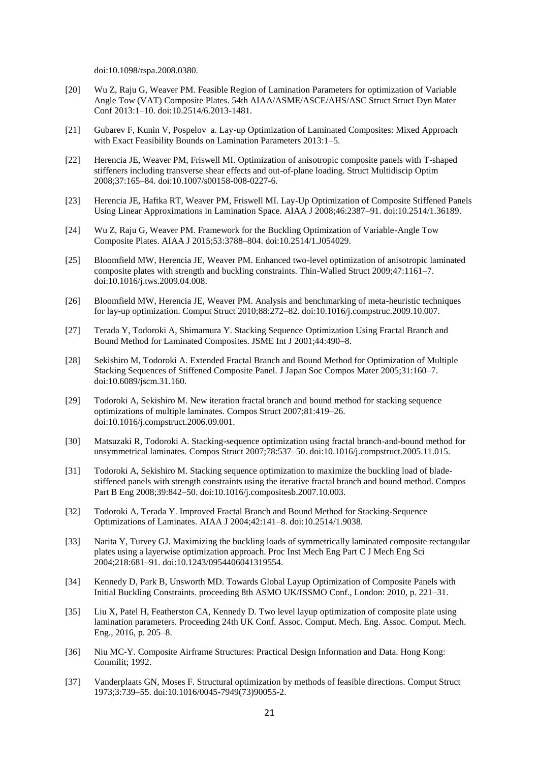doi:10.1098/rspa.2008.0380.

- [20] Wu Z, Raju G, Weaver PM. Feasible Region of Lamination Parameters for optimization of Variable Angle Tow (VAT) Composite Plates. 54th AIAA/ASME/ASCE/AHS/ASC Struct Struct Dyn Mater Conf 2013:1–10. doi:10.2514/6.2013-1481.
- [21] Gubarev F, Kunin V, Pospelov a. Lay-up Optimization of Laminated Composites: Mixed Approach with Exact Feasibility Bounds on Lamination Parameters 2013:1–5.
- [22] Herencia JE, Weaver PM, Friswell MI. Optimization of anisotropic composite panels with T-shaped stiffeners including transverse shear effects and out-of-plane loading. Struct Multidiscip Optim 2008;37:165–84. doi:10.1007/s00158-008-0227-6.
- [23] Herencia JE, Haftka RT, Weaver PM, Friswell MI. Lay-Up Optimization of Composite Stiffened Panels Using Linear Approximations in Lamination Space. AIAA J 2008;46:2387–91. doi:10.2514/1.36189.
- [24] Wu Z, Raju G, Weaver PM. Framework for the Buckling Optimization of Variable-Angle Tow Composite Plates. AIAA J 2015;53:3788–804. doi:10.2514/1.J054029.
- [25] Bloomfield MW, Herencia JE, Weaver PM. Enhanced two-level optimization of anisotropic laminated composite plates with strength and buckling constraints. Thin-Walled Struct 2009;47:1161–7. doi:10.1016/j.tws.2009.04.008.
- [26] Bloomfield MW, Herencia JE, Weaver PM. Analysis and benchmarking of meta-heuristic techniques for lay-up optimization. Comput Struct 2010;88:272–82. doi:10.1016/j.compstruc.2009.10.007.
- [27] Terada Y, Todoroki A, Shimamura Y. Stacking Sequence Optimization Using Fractal Branch and Bound Method for Laminated Composites. JSME Int J 2001;44:490–8.
- [28] Sekishiro M, Todoroki A. Extended Fractal Branch and Bound Method for Optimization of Multiple Stacking Sequences of Stiffened Composite Panel. J Japan Soc Compos Mater 2005;31:160–7. doi:10.6089/jscm.31.160.
- [29] Todoroki A, Sekishiro M. New iteration fractal branch and bound method for stacking sequence optimizations of multiple laminates. Compos Struct 2007;81:419–26. doi:10.1016/j.compstruct.2006.09.001.
- [30] Matsuzaki R, Todoroki A. Stacking-sequence optimization using fractal branch-and-bound method for unsymmetrical laminates. Compos Struct 2007;78:537–50. doi:10.1016/j.compstruct.2005.11.015.
- [31] Todoroki A, Sekishiro M. Stacking sequence optimization to maximize the buckling load of bladestiffened panels with strength constraints using the iterative fractal branch and bound method. Compos Part B Eng 2008;39:842–50. doi:10.1016/j.compositesb.2007.10.003.
- [32] Todoroki A, Terada Y. Improved Fractal Branch and Bound Method for Stacking-Sequence Optimizations of Laminates. AIAA J 2004;42:141–8. doi:10.2514/1.9038.
- [33] Narita Y, Turvey GJ. Maximizing the buckling loads of symmetrically laminated composite rectangular plates using a layerwise optimization approach. Proc Inst Mech Eng Part C J Mech Eng Sci 2004;218:681–91. doi:10.1243/0954406041319554.
- [34] Kennedy D, Park B, Unsworth MD. Towards Global Layup Optimization of Composite Panels with Initial Buckling Constraints. proceeding 8th ASMO UK/ISSMO Conf., London: 2010, p. 221–31.
- [35] Liu X, Patel H, Featherston CA, Kennedy D. Two level layup optimization of composite plate using lamination parameters. Proceeding 24th UK Conf. Assoc. Comput. Mech. Eng. Assoc. Comput. Mech. Eng., 2016, p. 205–8.
- [36] Niu MC-Y. Composite Airframe Structures: Practical Design Information and Data. Hong Kong: Conmilit; 1992.
- [37] Vanderplaats GN, Moses F. Structural optimization by methods of feasible directions. Comput Struct 1973;3:739–55. doi:10.1016/0045-7949(73)90055-2.